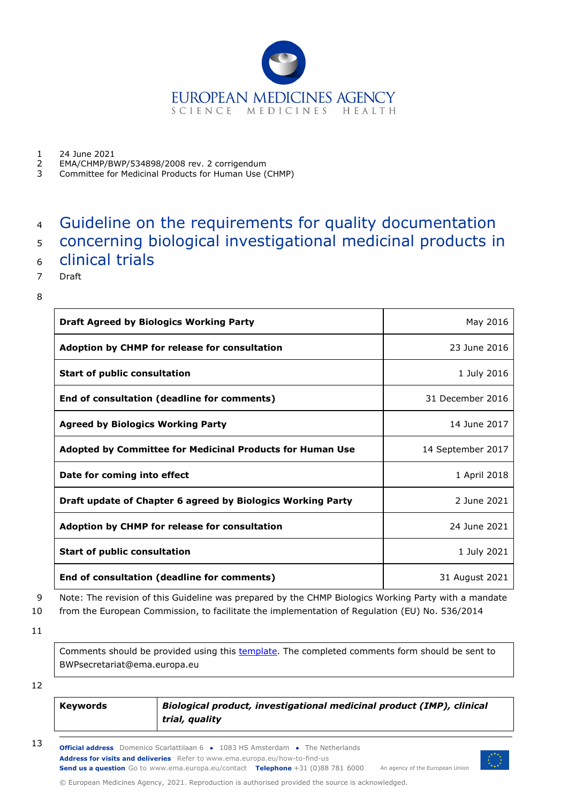

1 24 June 2021<br>2 EMA/CHMP/B

- 2 EMA/CHMP/BWP/534898/2008 rev. 2 corrigendum
- 3 Committee for Medicinal Products for Human Use (CHMP)

# <sup>4</sup> Guideline on the requirements for quality documentation

- <sup>5</sup> concerning biological investigational medicinal products in
- <sup>6</sup> clinical trials
- 7 Draft
- 8

| <b>Draft Agreed by Biologics Working Party</b>                   | May 2016          |
|------------------------------------------------------------------|-------------------|
| Adoption by CHMP for release for consultation                    | 23 June 2016      |
| <b>Start of public consultation</b>                              | 1 July 2016       |
| End of consultation (deadline for comments)                      | 31 December 2016  |
| <b>Agreed by Biologics Working Party</b>                         | 14 June 2017      |
| <b>Adopted by Committee for Medicinal Products for Human Use</b> | 14 September 2017 |
| Date for coming into effect                                      | 1 April 2018      |
| Draft update of Chapter 6 agreed by Biologics Working Party      | 2 June 2021       |
| Adoption by CHMP for release for consultation                    | 24 June 2021      |
| <b>Start of public consultation</b>                              | 1 July 2021       |
| End of consultation (deadline for comments)                      | 31 August 2021    |

9 Note: The revision of this Guideline was prepared by the CHMP Biologics Working Party with a mandate

10 from the European Commission, to facilitate the implementation of Regulation (EU) No. 536/2014

11

Comments should be provided using this [template.](http://www.ema.europa.eu/docs/en_GB/document_library/Template_or_form/2009/10/WC500004016.doc) The completed comments form should be sent to BWPsecretariat@ema.europa.eu

12

| <b>Keywords</b> | Biological product, investigational medicinal product (IMP), clinical |
|-----------------|-----------------------------------------------------------------------|
|                 | trial, quality                                                        |

**Official address** Domenico Scarlattilaan 6 **●** 1083 HS Amsterdam **●** The Netherlands An agency of the European Union **Address for visits and deliveries** Refer to www.ema.europa.eu/how-to-find-us **Send us a question** Go to www.ema.europa.eu/contact **Telephone** +31 (0)88 781 6000 13

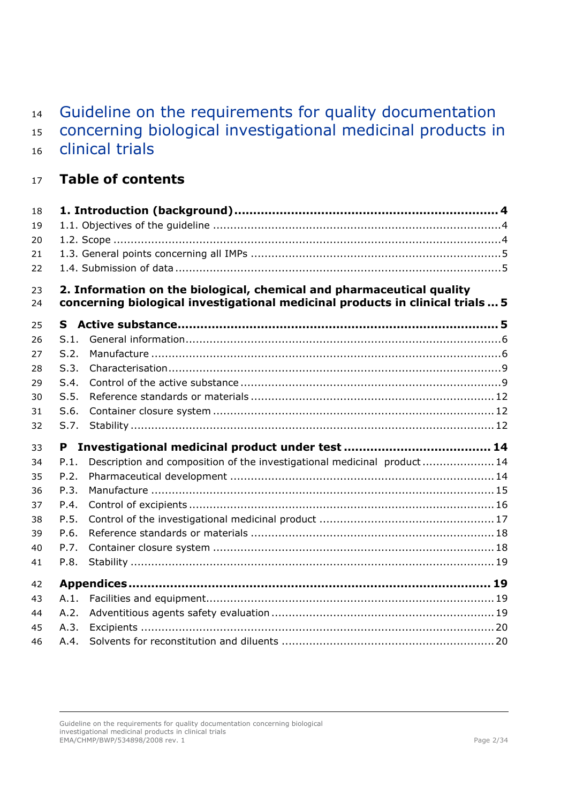| 14<br>15<br>16 |      | Guideline on the requirements for quality documentation<br>concerning biological investigational medicinal products in<br>clinical trials |
|----------------|------|-------------------------------------------------------------------------------------------------------------------------------------------|
| 17             |      | <b>Table of contents</b>                                                                                                                  |
| 18             |      |                                                                                                                                           |
| 19             |      |                                                                                                                                           |
| 20             |      |                                                                                                                                           |
| 21             |      |                                                                                                                                           |
| 22             |      |                                                                                                                                           |
| 23             |      | 2. Information on the biological, chemical and pharmaceutical quality                                                                     |
| 24             |      | concerning biological investigational medicinal products in clinical trials  5                                                            |
| 25             | S.   |                                                                                                                                           |
| 26             | S.1. |                                                                                                                                           |
| 27             | S.2. |                                                                                                                                           |
| 28             | S.3. |                                                                                                                                           |
| 29             | S.4. |                                                                                                                                           |
| 30             | S.5. |                                                                                                                                           |
| 31             | S.6. |                                                                                                                                           |
| 32             | S.7. |                                                                                                                                           |
| 33             | P    |                                                                                                                                           |
| 34             | P.1. | Description and composition of the investigational medicinal product 14                                                                   |
| 35             | P.2. |                                                                                                                                           |
| 36             | P.3. |                                                                                                                                           |
| 37             | P.4. |                                                                                                                                           |
| 38             | P.5. |                                                                                                                                           |
| 39             | P.6. |                                                                                                                                           |
| 40             | P.7. |                                                                                                                                           |
| 41             | P.8. |                                                                                                                                           |
| 42             |      |                                                                                                                                           |
| 43             | A.1. |                                                                                                                                           |
| 44             | A.2. |                                                                                                                                           |
| 45             | A.3. |                                                                                                                                           |
| 46             | A.4. |                                                                                                                                           |
|                |      |                                                                                                                                           |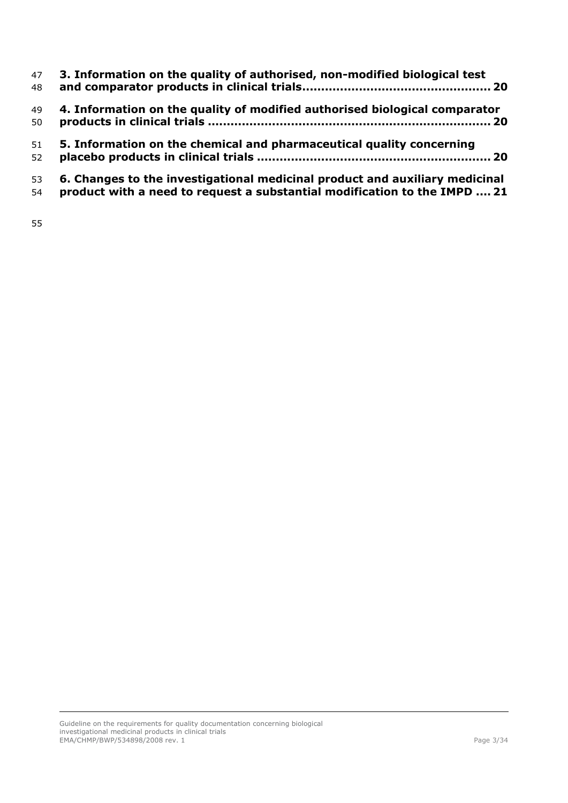| 47 | 3. Information on the quality of authorised, non-modified biological test   |
|----|-----------------------------------------------------------------------------|
| 48 |                                                                             |
| 49 | 4. Information on the quality of modified authorised biological comparator  |
| 50 |                                                                             |
| 51 | 5. Information on the chemical and pharmaceutical quality concerning        |
| 52 |                                                                             |
| 53 | 6. Changes to the investigational medicinal product and auxiliary medicinal |
| 54 | product with a need to request a substantial modification to the IMPD  21   |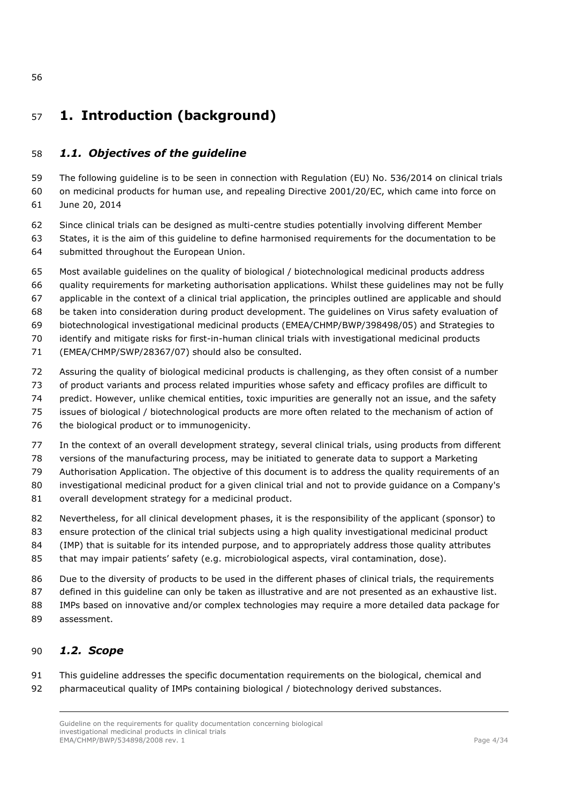# <span id="page-3-0"></span>**1. Introduction (background)**

### <span id="page-3-1"></span>*1.1. Objectives of the guideline*

 The following guideline is to be seen in connection with Regulation (EU) No. 536/2014 on clinical trials on medicinal products for human use, and repealing Directive 2001/20/EC, which came into force on June 20, 2014

- - Since clinical trials can be designed as multi-centre studies potentially involving different Member States, it is the aim of this guideline to define harmonised requirements for the documentation to be
	- submitted throughout the European Union.
	- Most available guidelines on the quality of biological / biotechnological medicinal products address
	- quality requirements for marketing authorisation applications. Whilst these guidelines may not be fully
	- applicable in the context of a clinical trial application, the principles outlined are applicable and should
	- be taken into consideration during product development. The guidelines on Virus safety evaluation of
	- biotechnological investigational medicinal products (EMEA/CHMP/BWP/398498/05) and Strategies to
	- identify and mitigate risks for first-in-human clinical trials with investigational medicinal products
	- (EMEA/CHMP/SWP/28367/07) should also be consulted.
	- Assuring the quality of biological medicinal products is challenging, as they often consist of a number
	- of product variants and process related impurities whose safety and efficacy profiles are difficult to
	- predict. However, unlike chemical entities, toxic impurities are generally not an issue, and the safety
	- issues of biological / biotechnological products are more often related to the mechanism of action of
	- 76 the biological product or to immunogenicity.
	- In the context of an overall development strategy, several clinical trials, using products from different
	- versions of the manufacturing process, may be initiated to generate data to support a Marketing

Authorisation Application. The objective of this document is to address the quality requirements of an

investigational medicinal product for a given clinical trial and not to provide guidance on a Company's

- overall development strategy for a medicinal product.
- Nevertheless, for all clinical development phases, it is the responsibility of the applicant (sponsor) to
- 83 ensure protection of the clinical trial subjects using a high quality investigational medicinal product
- (IMP) that is suitable for its intended purpose, and to appropriately address those quality attributes
- that may impair patients' safety (e.g. microbiological aspects, viral contamination, dose).
- Due to the diversity of products to be used in the different phases of clinical trials, the requirements
- defined in this guideline can only be taken as illustrative and are not presented as an exhaustive list.
- IMPs based on innovative and/or complex technologies may require a more detailed data package for assessment.

# <span id="page-3-2"></span>*1.2. Scope*

 This guideline addresses the specific documentation requirements on the biological, chemical and pharmaceutical quality of IMPs containing biological / biotechnology derived substances.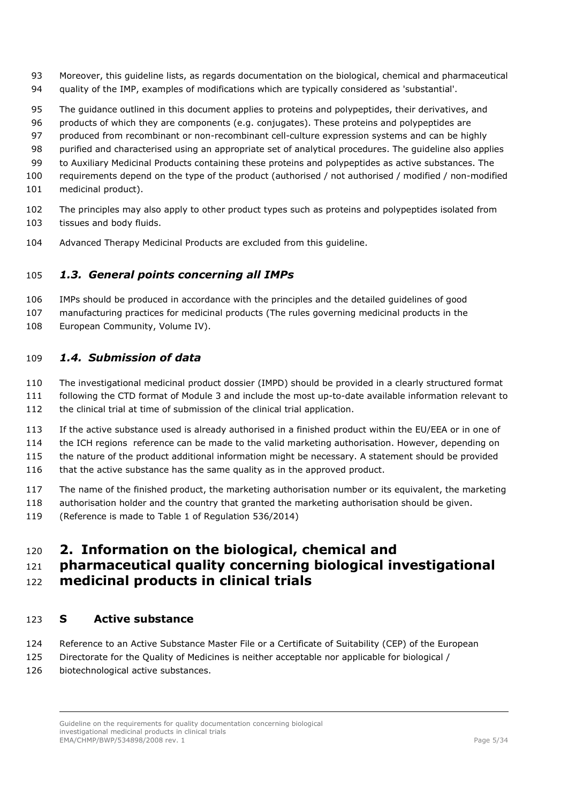- Moreover, this guideline lists, as regards documentation on the biological, chemical and pharmaceutical quality of the IMP, examples of modifications which are typically considered as 'substantial'.
- The guidance outlined in this document applies to proteins and polypeptides, their derivatives, and
- products of which they are components (e.g. conjugates). These proteins and polypeptides are
- produced from recombinant or non-recombinant cell-culture expression systems and can be highly
- purified and characterised using an appropriate set of analytical procedures. The guideline also applies
- to Auxiliary Medicinal Products containing these proteins and polypeptides as active substances. The
- requirements depend on the type of the product (authorised / not authorised / modified / non-modified
- medicinal product).
- The principles may also apply to other product types such as proteins and polypeptides isolated from tissues and body fluids.
- Advanced Therapy Medicinal Products are excluded from this guideline.

### <span id="page-4-0"></span>*1.3. General points concerning all IMPs*

- IMPs should be produced in accordance with the principles and the detailed guidelines of good
- manufacturing practices for medicinal products (The rules governing medicinal products in the
- 108 European Community, Volume IV).

### <span id="page-4-1"></span>*1.4. Submission of data*

- The investigational medicinal product dossier (IMPD) should be provided in a clearly structured format
- following the CTD format of Module 3 and include the most up-to-date available information relevant to the clinical trial at time of submission of the clinical trial application.
- If the active substance used is already authorised in a finished product within the EU/EEA or in one of the ICH regions reference can be made to the valid marketing authorisation. However, depending on the nature of the product additional information might be necessary. A statement should be provided
- 116 that the active substance has the same quality as in the approved product.
- The name of the finished product, the marketing authorisation number or its equivalent, the marketing
- authorisation holder and the country that granted the marketing authorisation should be given.
- (Reference is made to Table 1 of Regulation 536/2014)

# <span id="page-4-2"></span>**2. Information on the biological, chemical and**

# **pharmaceutical quality concerning biological investigational medicinal products in clinical trials**

### <span id="page-4-3"></span>**S Active substance**

- Reference to an Active Substance Master File or a Certificate of Suitability (CEP) of the European
- Directorate for the Quality of Medicines is neither acceptable nor applicable for biological /
- biotechnological active substances.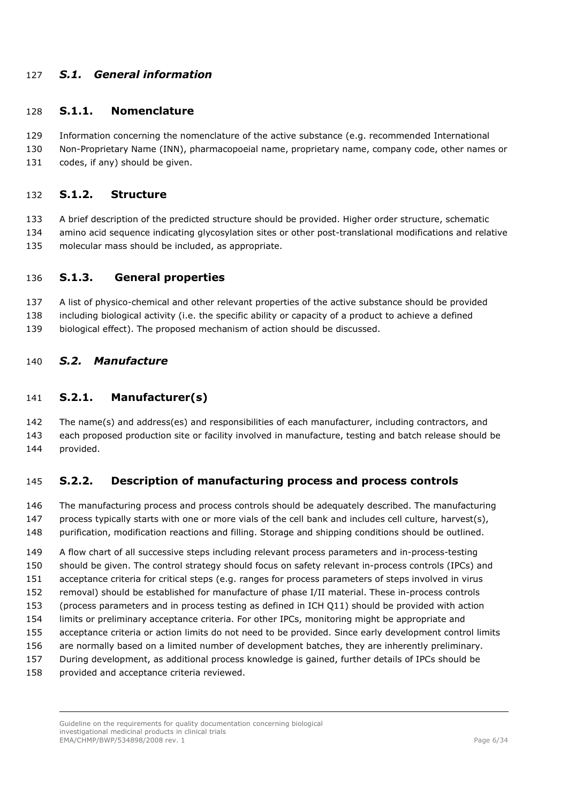### <span id="page-5-0"></span>*S.1. General information*

#### **S.1.1. Nomenclature**

- Information concerning the nomenclature of the active substance (e.g. recommended International
- Non-Proprietary Name (INN), pharmacopoeial name, proprietary name, company code, other names or 131 codes, if any) should be given.

### **S.1.2. Structure**

- A brief description of the predicted structure should be provided. Higher order structure, schematic
- amino acid sequence indicating glycosylation sites or other post-translational modifications and relative
- molecular mass should be included, as appropriate.

#### **S.1.3. General properties**

- A list of physico-chemical and other relevant properties of the active substance should be provided
- including biological activity (i.e. the specific ability or capacity of a product to achieve a defined
- biological effect). The proposed mechanism of action should be discussed.

### <span id="page-5-1"></span>*S.2. Manufacture*

### **S.2.1. Manufacturer(s)**

 The name(s) and address(es) and responsibilities of each manufacturer, including contractors, and each proposed production site or facility involved in manufacture, testing and batch release should be provided.

### **S.2.2. Description of manufacturing process and process controls**

 The manufacturing process and process controls should be adequately described. The manufacturing 147 process typically starts with one or more vials of the cell bank and includes cell culture, harvest(s), purification, modification reactions and filling. Storage and shipping conditions should be outlined.

 A flow chart of all successive steps including relevant process parameters and in-process-testing should be given. The control strategy should focus on safety relevant in-process controls (IPCs) and acceptance criteria for critical steps (e.g. ranges for process parameters of steps involved in virus removal) should be established for manufacture of phase I/II material. These in-process controls (process parameters and in process testing as defined in ICH Q11) should be provided with action limits or preliminary acceptance criteria. For other IPCs, monitoring might be appropriate and acceptance criteria or action limits do not need to be provided. Since early development control limits are normally based on a limited number of development batches, they are inherently preliminary. During development, as additional process knowledge is gained, further details of IPCs should be provided and acceptance criteria reviewed.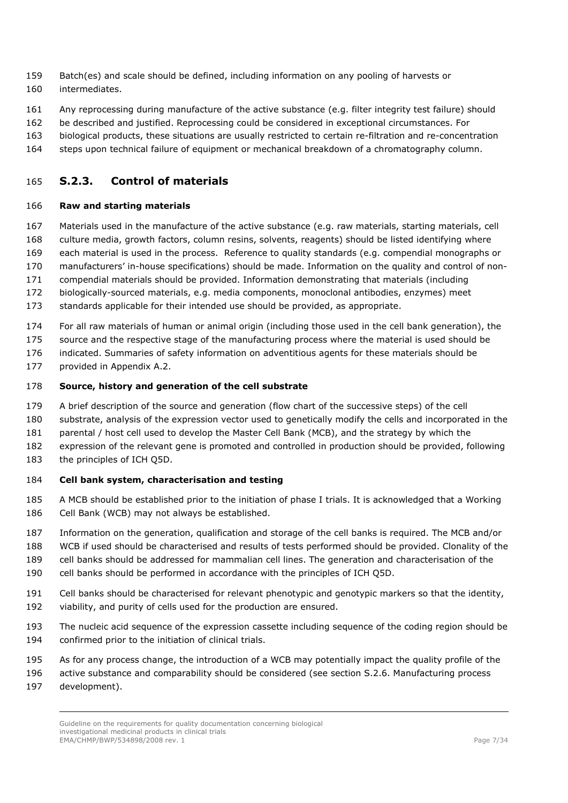- Batch(es) and scale should be defined, including information on any pooling of harvests or intermediates.
- Any reprocessing during manufacture of the active substance (e.g. filter integrity test failure) should
- be described and justified. Reprocessing could be considered in exceptional circumstances. For
- biological products, these situations are usually restricted to certain re-filtration and re-concentration
- steps upon technical failure of equipment or mechanical breakdown of a chromatography column.

### **S.2.3. Control of materials**

#### **Raw and starting materials**

- Materials used in the manufacture of the active substance (e.g. raw materials, starting materials, cell
- culture media, growth factors, column resins, solvents, reagents) should be listed identifying where
- each material is used in the process. Reference to quality standards (e.g. compendial monographs or
- manufacturers' in-house specifications) should be made. Information on the quality and control of non-
- compendial materials should be provided. Information demonstrating that materials (including
- biologically-sourced materials, e.g. media components, monoclonal antibodies, enzymes) meet
- standards applicable for their intended use should be provided, as appropriate.
- For all raw materials of human or animal origin (including those used in the cell bank generation), the
- 175 source and the respective stage of the manufacturing process where the material is used should be
- indicated. Summaries of safety information on adventitious agents for these materials should be
- provided in Appendix A.2.

#### **Source, history and generation of the cell substrate**

- A brief description of the source and generation (flow chart of the successive steps) of the cell
- substrate, analysis of the expression vector used to genetically modify the cells and incorporated in the
- 181 parental / host cell used to develop the Master Cell Bank (MCB), and the strategy by which the
- expression of the relevant gene is promoted and controlled in production should be provided, following
- the principles of ICH Q5D.

#### **Cell bank system, characterisation and testing**

- A MCB should be established prior to the initiation of phase I trials. It is acknowledged that a Working Cell Bank (WCB) may not always be established.
- Information on the generation, qualification and storage of the cell banks is required. The MCB and/or
- WCB if used should be characterised and results of tests performed should be provided. Clonality of the
- cell banks should be addressed for mammalian cell lines. The generation and characterisation of the
- cell banks should be performed in accordance with the principles of ICH Q5D.
- Cell banks should be characterised for relevant phenotypic and genotypic markers so that the identity,
- viability, and purity of cells used for the production are ensured.
- The nucleic acid sequence of the expression cassette including sequence of the coding region should be confirmed prior to the initiation of clinical trials.
- As for any process change, the introduction of a WCB may potentially impact the quality profile of the
- 196 active substance and comparability should be considered (see section S.2.6. Manufacturing process
- development).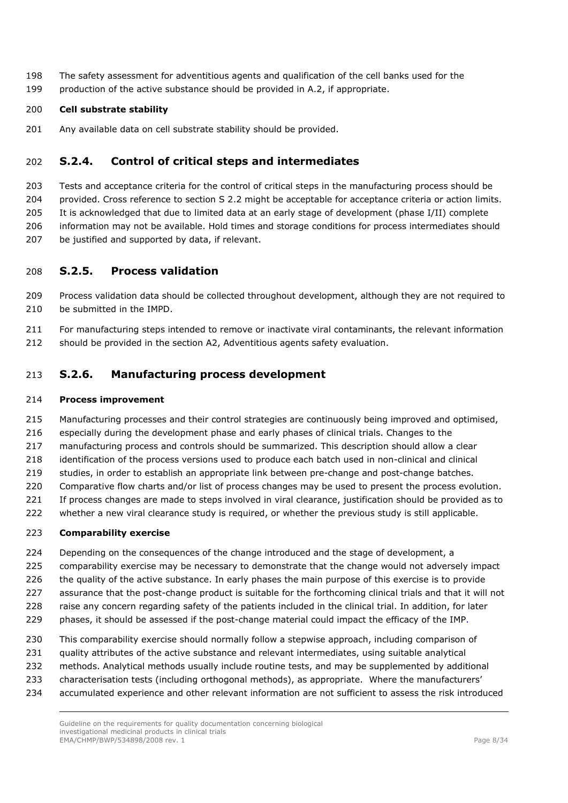The safety assessment for adventitious agents and qualification of the cell banks used for the production of the active substance should be provided in A.2, if appropriate.

### **Cell substrate stability**

201 Any available data on cell substrate stability should be provided.

### **S.2.4. Control of critical steps and intermediates**

 Tests and acceptance criteria for the control of critical steps in the manufacturing process should be 204 provided. Cross reference to section S 2.2 might be acceptable for acceptance criteria or action limits. It is acknowledged that due to limited data at an early stage of development (phase I/II) complete information may not be available. Hold times and storage conditions for process intermediates should be justified and supported by data, if relevant.

### **S.2.5. Process validation**

- Process validation data should be collected throughout development, although they are not required to 210 be submitted in the IMPD.
- For manufacturing steps intended to remove or inactivate viral contaminants, the relevant information
- should be provided in the section A2, Adventitious agents safety evaluation.

### **S.2.6. Manufacturing process development**

#### **Process improvement**

- Manufacturing processes and their control strategies are continuously being improved and optimised,
- especially during the development phase and early phases of clinical trials. Changes to the
- manufacturing process and controls should be summarized. This description should allow a clear
- identification of the process versions used to produce each batch used in non-clinical and clinical
- studies, in order to establish an appropriate link between pre-change and post-change batches.
- 220 Comparative flow charts and/or list of process changes may be used to present the process evolution.
- 221 If process changes are made to steps involved in viral clearance, justification should be provided as to
- whether a new viral clearance study is required, or whether the previous study is still applicable.

#### **Comparability exercise**

- Depending on the consequences of the change introduced and the stage of development, a
- comparability exercise may be necessary to demonstrate that the change would not adversely impact
- 226 the quality of the active substance. In early phases the main purpose of this exercise is to provide
- assurance that the post-change product is suitable for the forthcoming clinical trials and that it will not
- raise any concern regarding safety of the patients included in the clinical trial. In addition, for later
- phases, it should be assessed if the post-change material could impact the efficacy of the IMP.
- This comparability exercise should normally follow a stepwise approach, including comparison of
- quality attributes of the active substance and relevant intermediates, using suitable analytical
- methods. Analytical methods usually include routine tests, and may be supplemented by additional
- characterisation tests (including orthogonal methods), as appropriate. Where the manufacturers'
- accumulated experience and other relevant information are not sufficient to assess the risk introduced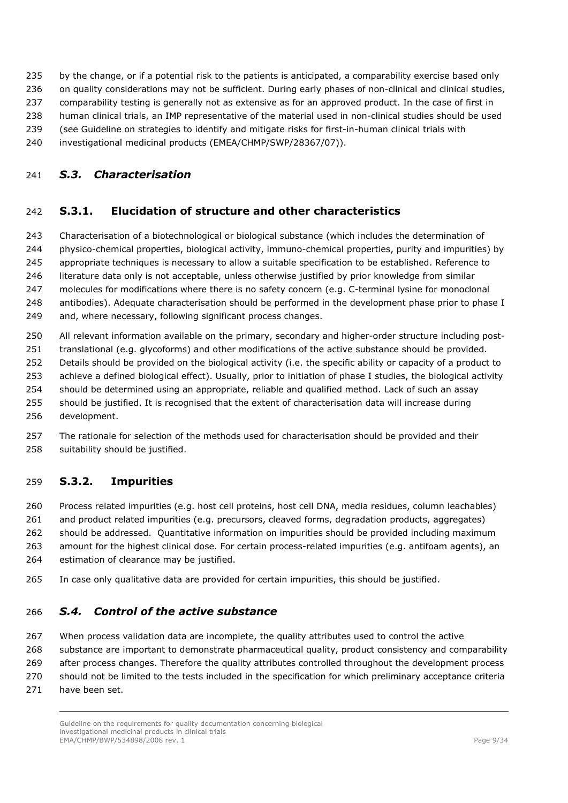by the change, or if a potential risk to the patients is anticipated, a comparability exercise based only

- 236 on quality considerations may not be sufficient. During early phases of non-clinical and clinical studies,
- 237 comparability testing is generally not as extensive as for an approved product. In the case of first in
- human clinical trials, an IMP representative of the material used in non-clinical studies should be used
- (see Guideline on strategies to identify and mitigate risks for first-in-human clinical trials with
- investigational medicinal products (EMEA/CHMP/SWP/28367/07)).

### <span id="page-8-0"></span>*S.3. Characterisation*

# **S.3.1. Elucidation of structure and other characteristics**

 Characterisation of a biotechnological or biological substance (which includes the determination of physico-chemical properties, biological activity, immuno-chemical properties, purity and impurities) by appropriate techniques is necessary to allow a suitable specification to be established. Reference to 246 literature data only is not acceptable, unless otherwise justified by prior knowledge from similar molecules for modifications where there is no safety concern (e.g. C-terminal lysine for monoclonal 248 antibodies). Adequate characterisation should be performed in the development phase prior to phase I and, where necessary, following significant process changes.

All relevant information available on the primary, secondary and higher-order structure including post-

translational (e.g. glycoforms) and other modifications of the active substance should be provided.

Details should be provided on the biological activity (i.e. the specific ability or capacity of a product to

achieve a defined biological effect). Usually, prior to initiation of phase I studies, the biological activity

- should be determined using an appropriate, reliable and qualified method. Lack of such an assay
- should be justified. It is recognised that the extent of characterisation data will increase during development.
- The rationale for selection of the methods used for characterisation should be provided and their suitability should be justified.

# **S.3.2. Impurities**

Process related impurities (e.g. host cell proteins, host cell DNA, media residues, column leachables)

and product related impurities (e.g. precursors, cleaved forms, degradation products, aggregates)

should be addressed. Quantitative information on impurities should be provided including maximum

 amount for the highest clinical dose. For certain process-related impurities (e.g. antifoam agents), an estimation of clearance may be justified.

In case only qualitative data are provided for certain impurities, this should be justified.

# <span id="page-8-1"></span>*S.4. Control of the active substance*

When process validation data are incomplete, the quality attributes used to control the active

substance are important to demonstrate pharmaceutical quality, product consistency and comparability

269 after process changes. Therefore the quality attributes controlled throughout the development process

should not be limited to the tests included in the specification for which preliminary acceptance criteria

have been set.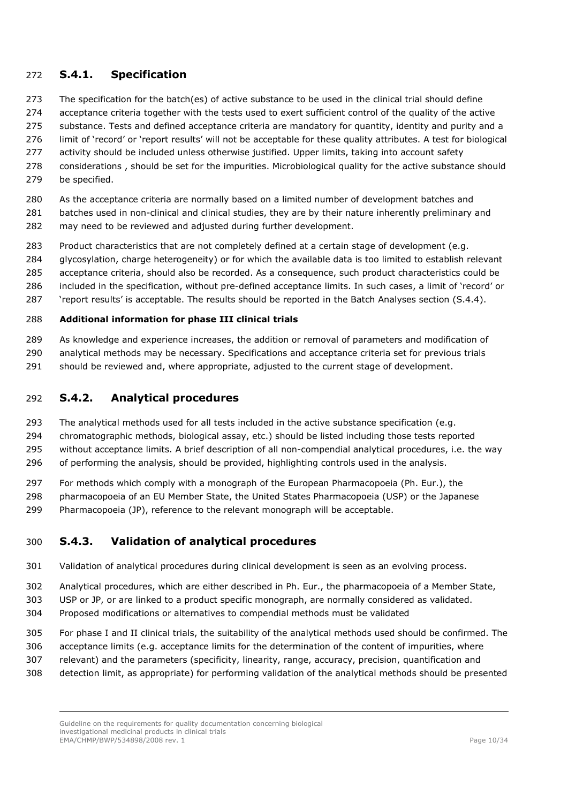### **S.4.1. Specification**

- 273 The specification for the batch(es) of active substance to be used in the clinical trial should define
- acceptance criteria together with the tests used to exert sufficient control of the quality of the active
- 275 substance. Tests and defined acceptance criteria are mandatory for quantity, identity and purity and a
- limit of 'record' or 'report results' will not be acceptable for these quality attributes. A test for biological
- 277 activity should be included unless otherwise justified. Upper limits, taking into account safety
- considerations , should be set for the impurities. Microbiological quality for the active substance should be specified.
- As the acceptance criteria are normally based on a limited number of development batches and
- 281 batches used in non-clinical and clinical studies, they are by their nature inherently preliminary and may need to be reviewed and adjusted during further development.
- Product characteristics that are not completely defined at a certain stage of development (e.g.
- glycosylation, charge heterogeneity) or for which the available data is too limited to establish relevant
- acceptance criteria, should also be recorded. As a consequence, such product characteristics could be
- included in the specification, without pre-defined acceptance limits. In such cases, a limit of 'record' or
- 'report results' is acceptable. The results should be reported in the Batch Analyses section (S.4.4).

#### **Additional information for phase III clinical trials**

- As knowledge and experience increases, the addition or removal of parameters and modification of
- analytical methods may be necessary. Specifications and acceptance criteria set for previous trials
- should be reviewed and, where appropriate, adjusted to the current stage of development.

### **S.4.2. Analytical procedures**

- The analytical methods used for all tests included in the active substance specification (e.g.
- chromatographic methods, biological assay, etc.) should be listed including those tests reported
- without acceptance limits. A brief description of all non-compendial analytical procedures, i.e. the way
- 296 of performing the analysis, should be provided, highlighting controls used in the analysis.
- For methods which comply with a monograph of the European Pharmacopoeia (Ph. Eur.), the
- pharmacopoeia of an EU Member State, the United States Pharmacopoeia (USP) or the Japanese
- Pharmacopoeia (JP), reference to the relevant monograph will be acceptable.

### **S.4.3. Validation of analytical procedures**

- Validation of analytical procedures during clinical development is seen as an evolving process.
- Analytical procedures, which are either described in Ph. Eur., the pharmacopoeia of a Member State,
- USP or JP, or are linked to a product specific monograph, are normally considered as validated.
- Proposed modifications or alternatives to compendial methods must be validated
- For phase I and II clinical trials, the suitability of the analytical methods used should be confirmed. The
- acceptance limits (e.g. acceptance limits for the determination of the content of impurities, where
- relevant) and the parameters (specificity, linearity, range, accuracy, precision, quantification and
- detection limit, as appropriate) for performing validation of the analytical methods should be presented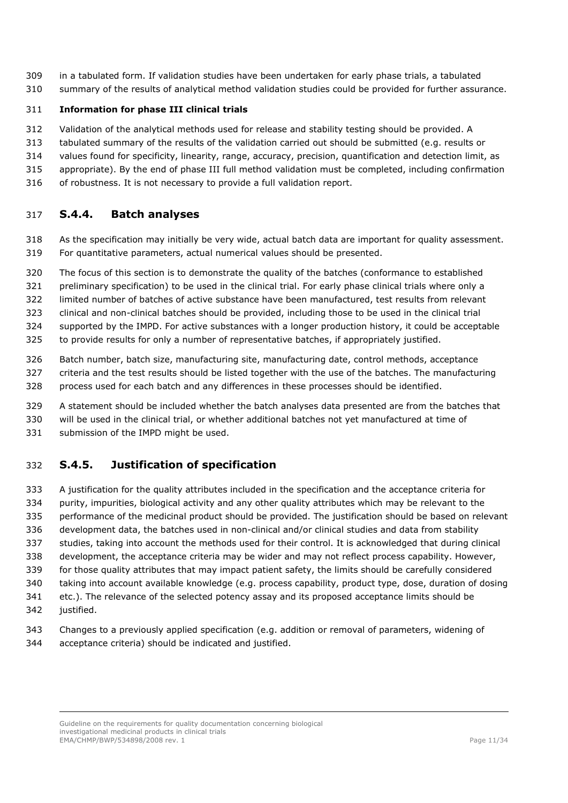- in a tabulated form. If validation studies have been undertaken for early phase trials, a tabulated
- summary of the results of analytical method validation studies could be provided for further assurance.

#### **Information for phase III clinical trials**

- Validation of the analytical methods used for release and stability testing should be provided. A
- tabulated summary of the results of the validation carried out should be submitted (e.g. results or
- values found for specificity, linearity, range, accuracy, precision, quantification and detection limit, as
- appropriate). By the end of phase III full method validation must be completed, including confirmation
- of robustness. It is not necessary to provide a full validation report.

### **S.4.4. Batch analyses**

- As the specification may initially be very wide, actual batch data are important for quality assessment. For quantitative parameters, actual numerical values should be presented.
- The focus of this section is to demonstrate the quality of the batches (conformance to established
- preliminary specification) to be used in the clinical trial. For early phase clinical trials where only a
- limited number of batches of active substance have been manufactured, test results from relevant
- clinical and non-clinical batches should be provided, including those to be used in the clinical trial
- supported by the IMPD. For active substances with a longer production history, it could be acceptable
- to provide results for only a number of representative batches, if appropriately justified.
- Batch number, batch size, manufacturing site, manufacturing date, control methods, acceptance
- criteria and the test results should be listed together with the use of the batches. The manufacturing
- process used for each batch and any differences in these processes should be identified.
- A statement should be included whether the batch analyses data presented are from the batches that
- will be used in the clinical trial, or whether additional batches not yet manufactured at time of submission of the IMPD might be used.

# **S.4.5. Justification of specification**

- A justification for the quality attributes included in the specification and the acceptance criteria for purity, impurities, biological activity and any other quality attributes which may be relevant to the performance of the medicinal product should be provided. The justification should be based on relevant development data, the batches used in non-clinical and/or clinical studies and data from stability studies, taking into account the methods used for their control. It is acknowledged that during clinical development, the acceptance criteria may be wider and may not reflect process capability. However, for those quality attributes that may impact patient safety, the limits should be carefully considered taking into account available knowledge (e.g. process capability, product type, dose, duration of dosing etc.). The relevance of the selected potency assay and its proposed acceptance limits should be 342 justified.
- Changes to a previously applied specification (e.g. addition or removal of parameters, widening of acceptance criteria) should be indicated and justified.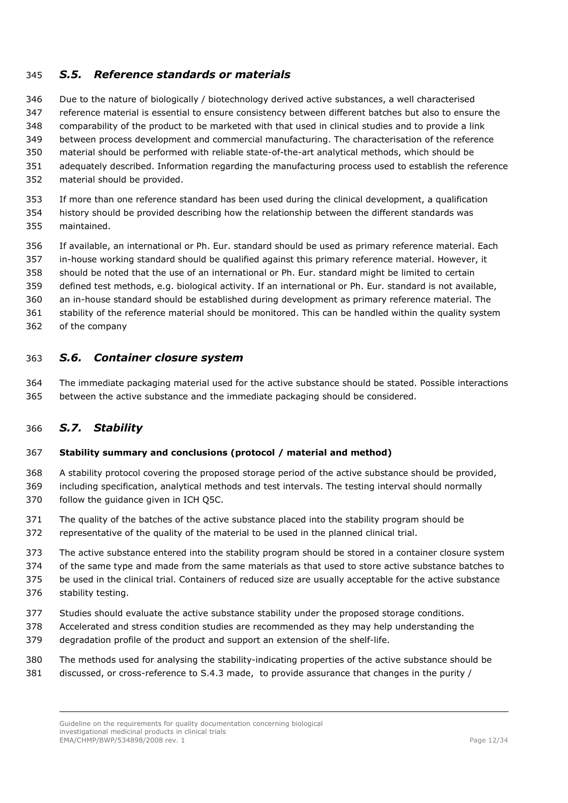### <span id="page-11-0"></span>*S.5. Reference standards or materials*

 Due to the nature of biologically / biotechnology derived active substances, a well characterised reference material is essential to ensure consistency between different batches but also to ensure the comparability of the product to be marketed with that used in clinical studies and to provide a link between process development and commercial manufacturing. The characterisation of the reference material should be performed with reliable state-of-the-art analytical methods, which should be adequately described. Information regarding the manufacturing process used to establish the reference material should be provided.

 If more than one reference standard has been used during the clinical development, a qualification history should be provided describing how the relationship between the different standards was

maintained.

 If available, an international or Ph. Eur. standard should be used as primary reference material. Each in-house working standard should be qualified against this primary reference material. However, it

should be noted that the use of an international or Ph. Eur. standard might be limited to certain

defined test methods, e.g. biological activity. If an international or Ph. Eur. standard is not available,

an in-house standard should be established during development as primary reference material. The

stability of the reference material should be monitored. This can be handled within the quality system

of the company

### <span id="page-11-1"></span>*S.6. Container closure system*

 The immediate packaging material used for the active substance should be stated. Possible interactions between the active substance and the immediate packaging should be considered.

### <span id="page-11-2"></span>*S.7. Stability*

#### **Stability summary and conclusions (protocol / material and method)**

 A stability protocol covering the proposed storage period of the active substance should be provided, including specification, analytical methods and test intervals. The testing interval should normally follow the guidance given in ICH Q5C.

The quality of the batches of the active substance placed into the stability program should be

representative of the quality of the material to be used in the planned clinical trial.

The active substance entered into the stability program should be stored in a container closure system

of the same type and made from the same materials as that used to store active substance batches to

 be used in the clinical trial. Containers of reduced size are usually acceptable for the active substance stability testing.

- 
- Studies should evaluate the active substance stability under the proposed storage conditions.
- Accelerated and stress condition studies are recommended as they may help understanding the
- degradation profile of the product and support an extension of the shelf-life.

 The methods used for analysing the stability-indicating properties of the active substance should be discussed, or cross-reference to S.4.3 made, to provide assurance that changes in the purity /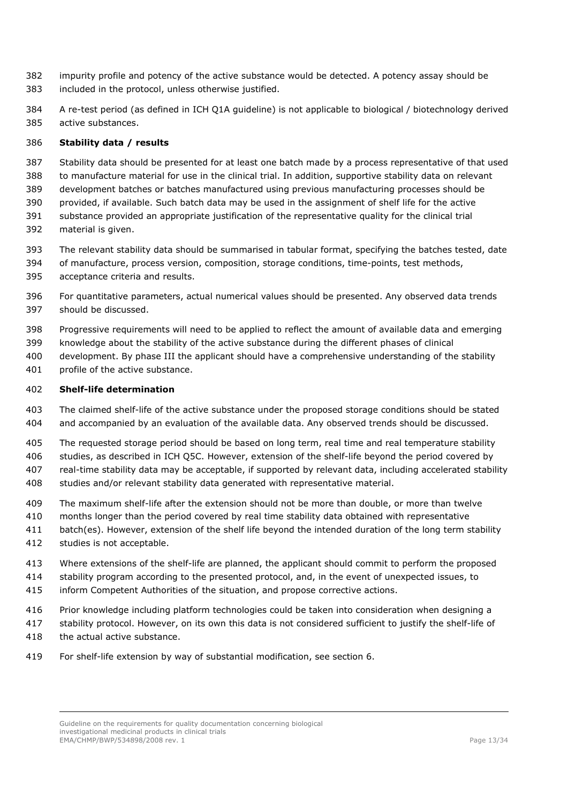- impurity profile and potency of the active substance would be detected. A potency assay should be included in the protocol, unless otherwise justified.
- A re-test period (as defined in ICH Q1A guideline) is not applicable to biological / biotechnology derived active substances.

#### **Stability data / results**

- Stability data should be presented for at least one batch made by a process representative of that used
- to manufacture material for use in the clinical trial. In addition, supportive stability data on relevant development batches or batches manufactured using previous manufacturing processes should be
- provided, if available. Such batch data may be used in the assignment of shelf life for the active
- substance provided an appropriate justification of the representative quality for the clinical trial material is given.
- The relevant stability data should be summarised in tabular format, specifying the batches tested, date
- of manufacture, process version, composition, storage conditions, time-points, test methods,
- acceptance criteria and results.
- For quantitative parameters, actual numerical values should be presented. Any observed data trends should be discussed.
- Progressive requirements will need to be applied to reflect the amount of available data and emerging
- knowledge about the stability of the active substance during the different phases of clinical
- development. By phase III the applicant should have a comprehensive understanding of the stability profile of the active substance.
- **Shelf-life determination**
- The claimed shelf-life of the active substance under the proposed storage conditions should be stated and accompanied by an evaluation of the available data. Any observed trends should be discussed.
- The requested storage period should be based on long term, real time and real temperature stability studies, as described in ICH Q5C. However, extension of the shelf-life beyond the period covered by real-time stability data may be acceptable, if supported by relevant data, including accelerated stability studies and/or relevant stability data generated with representative material.
- The maximum shelf-life after the extension should not be more than double, or more than twelve
- months longer than the period covered by real time stability data obtained with representative
- batch(es). However, extension of the shelf life beyond the intended duration of the long term stability
- studies is not acceptable.
- Where extensions of the shelf-life are planned, the applicant should commit to perform the proposed
- stability program according to the presented protocol, and, in the event of unexpected issues, to
- inform Competent Authorities of the situation, and propose corrective actions.
- Prior knowledge including platform technologies could be taken into consideration when designing a
- stability protocol. However, on its own this data is not considered sufficient to justify the shelf-life of
- 418 the actual active substance.
- For shelf-life extension by way of substantial modification, see section 6.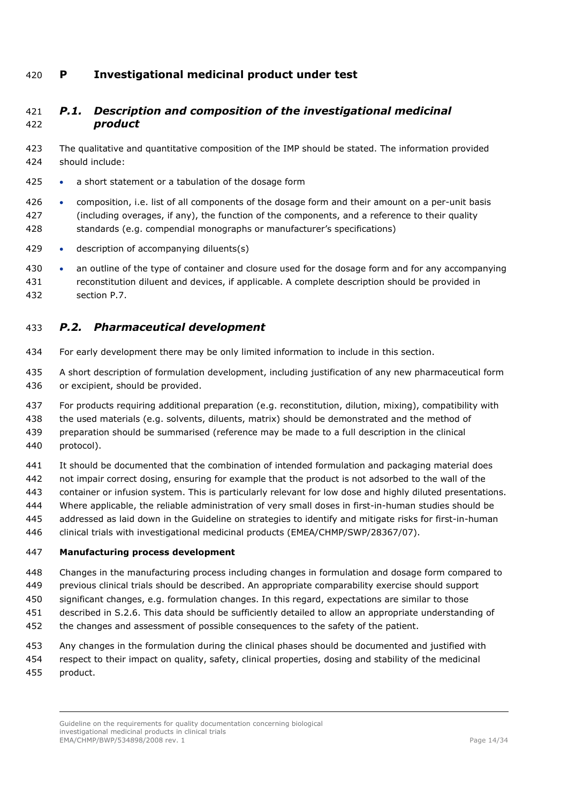### <span id="page-13-0"></span>**P Investigational medicinal product under test**

### <span id="page-13-1"></span> *P.1. Description and composition of the investigational medicinal product*

- The qualitative and quantitative composition of the IMP should be stated. The information provided should include:
- a short statement or a tabulation of the dosage form
- 426 composition, i.e. list of all components of the dosage form and their amount on a per-unit basis (including overages, if any), the function of the components, and a reference to their quality standards (e.g. compendial monographs or manufacturer's specifications)
- description of accompanying diluents(s)
- an outline of the type of container and closure used for the dosage form and for any accompanying reconstitution diluent and devices, if applicable. A complete description should be provided in section P.7.

### <span id="page-13-2"></span>*P.2. Pharmaceutical development*

- For early development there may be only limited information to include in this section.
- A short description of formulation development, including justification of any new pharmaceutical form or excipient, should be provided.
- For products requiring additional preparation (e.g. reconstitution, dilution, mixing), compatibility with
- the used materials (e.g. solvents, diluents, matrix) should be demonstrated and the method of
- preparation should be summarised (reference may be made to a full description in the clinical protocol).
- It should be documented that the combination of intended formulation and packaging material does
- not impair correct dosing, ensuring for example that the product is not adsorbed to the wall of the
- container or infusion system. This is particularly relevant for low dose and highly diluted presentations.
- Where applicable, the reliable administration of very small doses in first-in-human studies should be
- addressed as laid down in the Guideline on strategies to identify and mitigate risks for first-in-human
- clinical trials with investigational medicinal products (EMEA/CHMP/SWP/28367/07).

#### **Manufacturing process development**

- Changes in the manufacturing process including changes in formulation and dosage form compared to
- previous clinical trials should be described. An appropriate comparability exercise should support
- significant changes, e.g. formulation changes. In this regard, expectations are similar to those
- described in S.2.6. This data should be sufficiently detailed to allow an appropriate understanding of
- the changes and assessment of possible consequences to the safety of the patient.
- Any changes in the formulation during the clinical phases should be documented and justified with
- respect to their impact on quality, safety, clinical properties, dosing and stability of the medicinal product.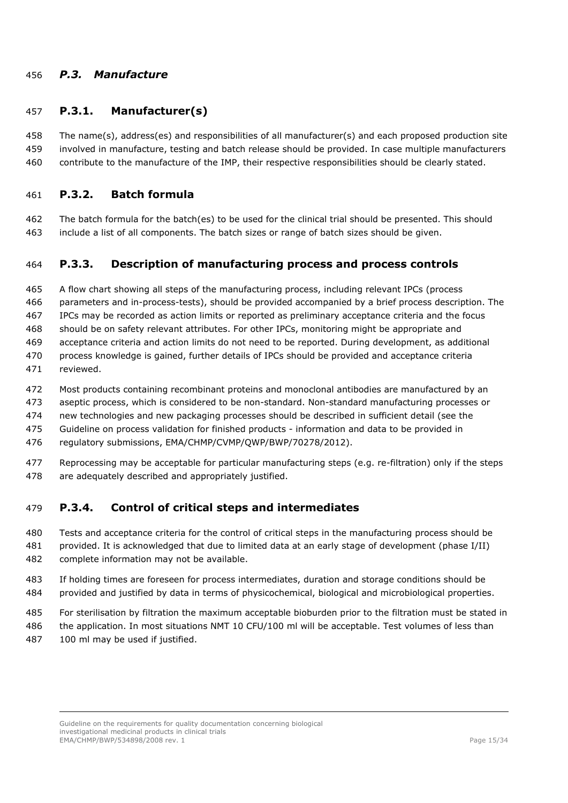### <span id="page-14-0"></span>*P.3. Manufacture*

### **P.3.1. Manufacturer(s)**

 The name(s), address(es) and responsibilities of all manufacturer(s) and each proposed production site involved in manufacture, testing and batch release should be provided. In case multiple manufacturers contribute to the manufacture of the IMP, their respective responsibilities should be clearly stated.

### **P.3.2. Batch formula**

 The batch formula for the batch(es) to be used for the clinical trial should be presented. This should include a list of all components. The batch sizes or range of batch sizes should be given.

### **P.3.3. Description of manufacturing process and process controls**

 A flow chart showing all steps of the manufacturing process, including relevant IPCs (process parameters and in-process-tests), should be provided accompanied by a brief process description. The IPCs may be recorded as action limits or reported as preliminary acceptance criteria and the focus should be on safety relevant attributes. For other IPCs, monitoring might be appropriate and acceptance criteria and action limits do not need to be reported. During development, as additional process knowledge is gained, further details of IPCs should be provided and acceptance criteria reviewed.

- Most products containing recombinant proteins and monoclonal antibodies are manufactured by an
- aseptic process, which is considered to be non-standard. Non-standard manufacturing processes or
- new technologies and new packaging processes should be described in sufficient detail (see the
- Guideline on process validation for finished products information and data to be provided in
- regulatory submissions, EMA/CHMP/CVMP/QWP/BWP/70278/2012).
- Reprocessing may be acceptable for particular manufacturing steps (e.g. re-filtration) only if the steps are adequately described and appropriately justified.

### **P.3.4. Control of critical steps and intermediates**

- Tests and acceptance criteria for the control of critical steps in the manufacturing process should be provided. It is acknowledged that due to limited data at an early stage of development (phase I/II)
- complete information may not be available.
- If holding times are foreseen for process intermediates, duration and storage conditions should be provided and justified by data in terms of physicochemical, biological and microbiological properties.
- For sterilisation by filtration the maximum acceptable bioburden prior to the filtration must be stated in
- the application. In most situations NMT 10 CFU/100 ml will be acceptable. Test volumes of less than 100 ml may be used if justified.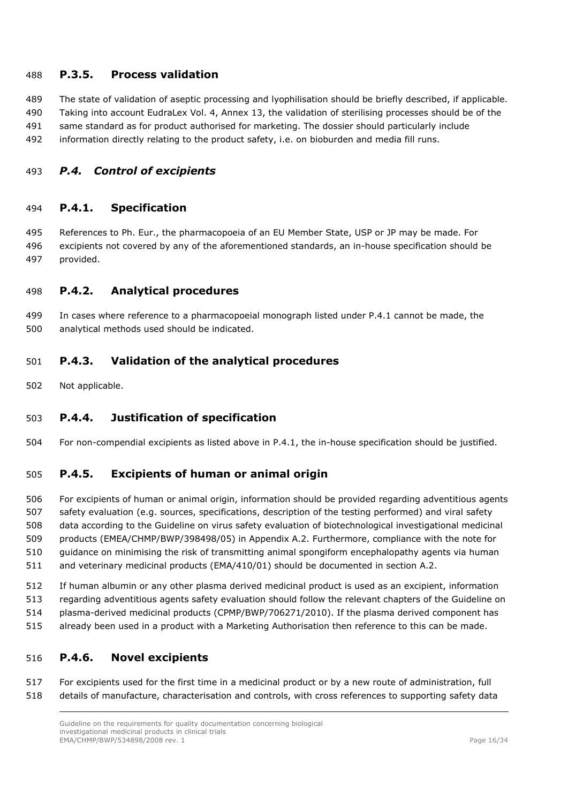### **P.3.5. Process validation**

 The state of validation of aseptic processing and lyophilisation should be briefly described, if applicable. Taking into account EudraLex Vol. 4, Annex 13, the validation of sterilising processes should be of the same standard as for product authorised for marketing. The dossier should particularly include

information directly relating to the product safety, i.e. on bioburden and media fill runs.

### <span id="page-15-0"></span>*P.4. Control of excipients*

### **P.4.1. Specification**

 References to Ph. Eur., the pharmacopoeia of an EU Member State, USP or JP may be made. For excipients not covered by any of the aforementioned standards, an in-house specification should be provided.

### **P.4.2. Analytical procedures**

 In cases where reference to a pharmacopoeial monograph listed under P.4.1 cannot be made, the analytical methods used should be indicated.

### **P.4.3. Validation of the analytical procedures**

Not applicable.

### **P.4.4. Justification of specification**

For non-compendial excipients as listed above in P.4.1, the in-house specification should be justified.

### **P.4.5. Excipients of human or animal origin**

 For excipients of human or animal origin, information should be provided regarding adventitious agents safety evaluation (e.g. sources, specifications, description of the testing performed) and viral safety data according to the Guideline on virus safety evaluation of biotechnological investigational medicinal products (EMEA/CHMP/BWP/398498/05) in Appendix A.2. Furthermore, compliance with the note for guidance on minimising the risk of transmitting animal spongiform encephalopathy agents via human and veterinary medicinal products (EMA/410/01) should be documented in section A.2.

If human albumin or any other plasma derived medicinal product is used as an excipient, information

- regarding adventitious agents safety evaluation should follow the relevant chapters of the Guideline on
- plasma-derived medicinal products (CPMP/BWP/706271/2010). If the plasma derived component has already been used in a product with a Marketing Authorisation then reference to this can be made.
- 

#### **P.4.6. Novel excipients**

 For excipients used for the first time in a medicinal product or by a new route of administration, full details of manufacture, characterisation and controls, with cross references to supporting safety data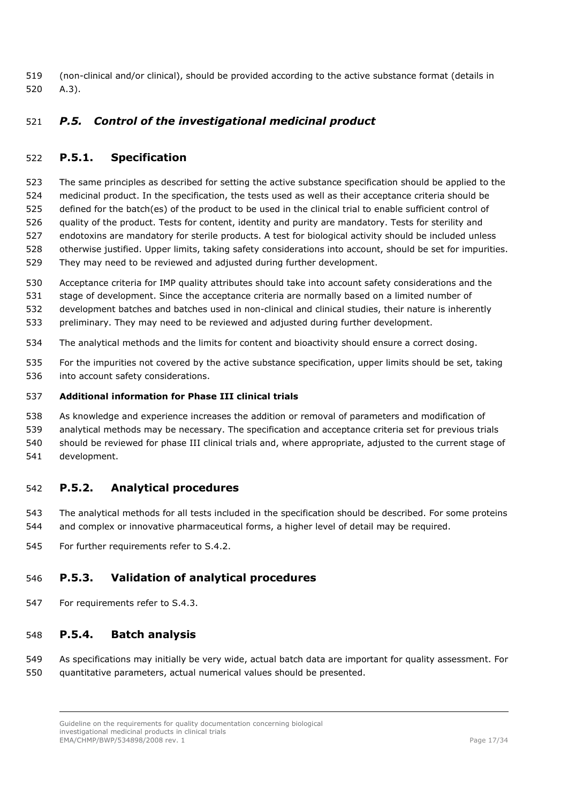(non-clinical and/or clinical), should be provided according to the active substance format (details in A.3).

### <span id="page-16-0"></span>*P.5. Control of the investigational medicinal product*

### **P.5.1. Specification**

 The same principles as described for setting the active substance specification should be applied to the medicinal product. In the specification, the tests used as well as their acceptance criteria should be defined for the batch(es) of the product to be used in the clinical trial to enable sufficient control of quality of the product. Tests for content, identity and purity are mandatory. Tests for sterility and endotoxins are mandatory for sterile products. A test for biological activity should be included unless otherwise justified. Upper limits, taking safety considerations into account, should be set for impurities. They may need to be reviewed and adjusted during further development.

- Acceptance criteria for IMP quality attributes should take into account safety considerations and the
- stage of development. Since the acceptance criteria are normally based on a limited number of
- development batches and batches used in non-clinical and clinical studies, their nature is inherently
- preliminary. They may need to be reviewed and adjusted during further development.
- The analytical methods and the limits for content and bioactivity should ensure a correct dosing.
- For the impurities not covered by the active substance specification, upper limits should be set, taking into account safety considerations.

#### **Additional information for Phase III clinical trials**

- As knowledge and experience increases the addition or removal of parameters and modification of
- analytical methods may be necessary. The specification and acceptance criteria set for previous trials
- should be reviewed for phase III clinical trials and, where appropriate, adjusted to the current stage of
- development.

### **P.5.2. Analytical procedures**

- The analytical methods for all tests included in the specification should be described. For some proteins and complex or innovative pharmaceutical forms, a higher level of detail may be required.
- For further requirements refer to S.4.2.

### **P.5.3. Validation of analytical procedures**

For requirements refer to S.4.3.

#### **P.5.4. Batch analysis**

 As specifications may initially be very wide, actual batch data are important for quality assessment. For quantitative parameters, actual numerical values should be presented.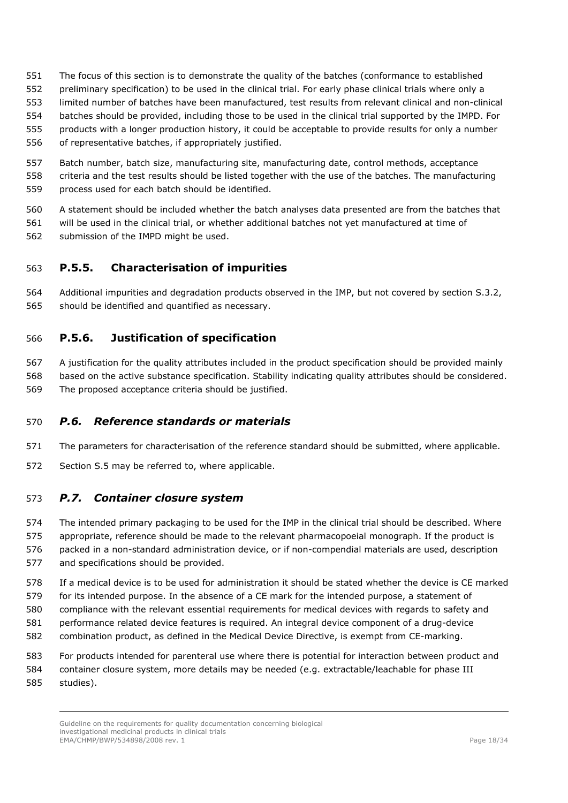- The focus of this section is to demonstrate the quality of the batches (conformance to established
- preliminary specification) to be used in the clinical trial. For early phase clinical trials where only a
- limited number of batches have been manufactured, test results from relevant clinical and non-clinical
- batches should be provided, including those to be used in the clinical trial supported by the IMPD. For
- products with a longer production history, it could be acceptable to provide results for only a number
- of representative batches, if appropriately justified.
- Batch number, batch size, manufacturing site, manufacturing date, control methods, acceptance criteria and the test results should be listed together with the use of the batches. The manufacturing process used for each batch should be identified.
- A statement should be included whether the batch analyses data presented are from the batches that
- will be used in the clinical trial, or whether additional batches not yet manufactured at time of submission of the IMPD might be used.

## **P.5.5. Characterisation of impurities**

 Additional impurities and degradation products observed in the IMP, but not covered by section S.3.2, should be identified and quantified as necessary.

## **P.5.6. Justification of specification**

- A justification for the quality attributes included in the product specification should be provided mainly based on the active substance specification. Stability indicating quality attributes should be considered.
- The proposed acceptance criteria should be justified.

## <span id="page-17-0"></span>*P.6. Reference standards or materials*

- The parameters for characterisation of the reference standard should be submitted, where applicable.
- Section S.5 may be referred to, where applicable.

### <span id="page-17-1"></span>*P.7. Container closure system*

- The intended primary packaging to be used for the IMP in the clinical trial should be described. Where
- appropriate, reference should be made to the relevant pharmacopoeial monograph. If the product is
- packed in a non-standard administration device, or if non-compendial materials are used, description and specifications should be provided.
- If a medical device is to be used for administration it should be stated whether the device is CE marked
- for its intended purpose. In the absence of a CE mark for the intended purpose, a statement of
- compliance with the relevant essential requirements for medical devices with regards to safety and
- performance related device features is required. An integral device component of a drug-device
- combination product, as defined in the Medical Device Directive, is exempt from CE-marking.
- For products intended for parenteral use where there is potential for interaction between product and
- container closure system, more details may be needed (e.g. extractable/leachable for phase III
- studies).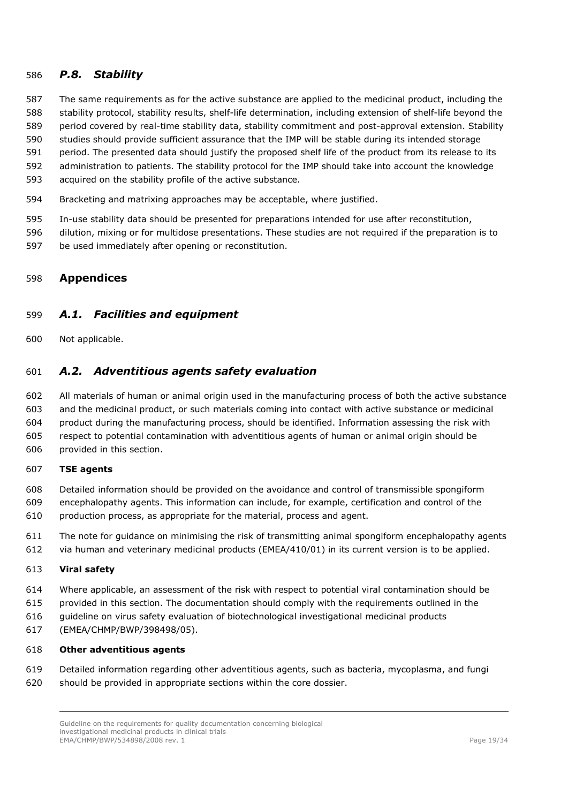### <span id="page-18-0"></span>*P.8. Stability*

- The same requirements as for the active substance are applied to the medicinal product, including the stability protocol, stability results, shelf-life determination, including extension of shelf-life beyond the
- period covered by real-time stability data, stability commitment and post-approval extension. Stability
- studies should provide sufficient assurance that the IMP will be stable during its intended storage
- period. The presented data should justify the proposed shelf life of the product from its release to its
- administration to patients. The stability protocol for the IMP should take into account the knowledge
- acquired on the stability profile of the active substance.
- Bracketing and matrixing approaches may be acceptable, where justified.
- In-use stability data should be presented for preparations intended for use after reconstitution,
- dilution, mixing or for multidose presentations. These studies are not required if the preparation is to
- be used immediately after opening or reconstitution.

### <span id="page-18-1"></span>**Appendices**

### <span id="page-18-2"></span>*A.1. Facilities and equipment*

Not applicable.

### <span id="page-18-3"></span>*A.2. Adventitious agents safety evaluation*

 All materials of human or animal origin used in the manufacturing process of both the active substance and the medicinal product, or such materials coming into contact with active substance or medicinal product during the manufacturing process, should be identified. Information assessing the risk with respect to potential contamination with adventitious agents of human or animal origin should be provided in this section.

#### **TSE agents**

- Detailed information should be provided on the avoidance and control of transmissible spongiform encephalopathy agents. This information can include, for example, certification and control of the
- production process, as appropriate for the material, process and agent.
- The note for guidance on minimising the risk of transmitting animal spongiform encephalopathy agents
- via human and veterinary medicinal products (EMEA/410/01) in its current version is to be applied.

#### **Viral safety**

- Where applicable, an assessment of the risk with respect to potential viral contamination should be
- provided in this section. The documentation should comply with the requirements outlined in the
- guideline on virus safety evaluation of biotechnological investigational medicinal products
- (EMEA/CHMP/BWP/398498/05).

#### **Other adventitious agents**

- Detailed information regarding other adventitious agents, such as bacteria, mycoplasma, and fungi should be provided in appropriate sections within the core dossier.
	- Guideline on the requirements for quality documentation concerning biological investigational medicinal products in clinical trials EMA/CHMP/BWP/534898/2008 rev. 1 Page 19/34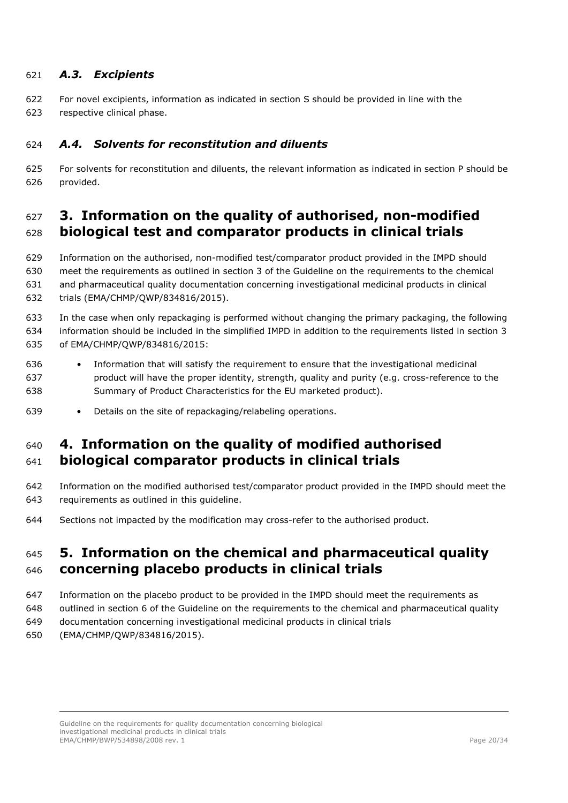### <span id="page-19-0"></span>*A.3. Excipients*

- For novel excipients, information as indicated in section S should be provided in line with the
- respective clinical phase.

### <span id="page-19-1"></span>*A.4. Solvents for reconstitution and diluents*

 For solvents for reconstitution and diluents, the relevant information as indicated in section P should be provided.

# <span id="page-19-2"></span> **3. Information on the quality of authorised, non-modified biological test and comparator products in clinical trials**

 Information on the authorised, non-modified test/comparator product provided in the IMPD should meet the requirements as outlined in section 3 of the Guideline on the requirements to the chemical and pharmaceutical quality documentation concerning investigational medicinal products in clinical trials (EMA/CHMP/QWP/834816/2015).

 In the case when only repackaging is performed without changing the primary packaging, the following information should be included in the simplified IMPD in addition to the requirements listed in section 3 of EMA/CHMP/QWP/834816/2015:

- Information that will satisfy the requirement to ensure that the investigational medicinal product will have the proper identity, strength, quality and purity (e.g. cross-reference to the Summary of Product Characteristics for the EU marketed product).
- Details on the site of repackaging/relabeling operations.

# <span id="page-19-3"></span> **4. Information on the quality of modified authorised biological comparator products in clinical trials**

- Information on the modified authorised test/comparator product provided in the IMPD should meet the requirements as outlined in this guideline.
- Sections not impacted by the modification may cross-refer to the authorised product.

# <span id="page-19-4"></span> **5. Information on the chemical and pharmaceutical quality concerning placebo products in clinical trials**

- Information on the placebo product to be provided in the IMPD should meet the requirements as
- outlined in section 6 of the Guideline on the requirements to the chemical and pharmaceutical quality
- documentation concerning investigational medicinal products in clinical trials
- (EMA/CHMP/QWP/834816/2015).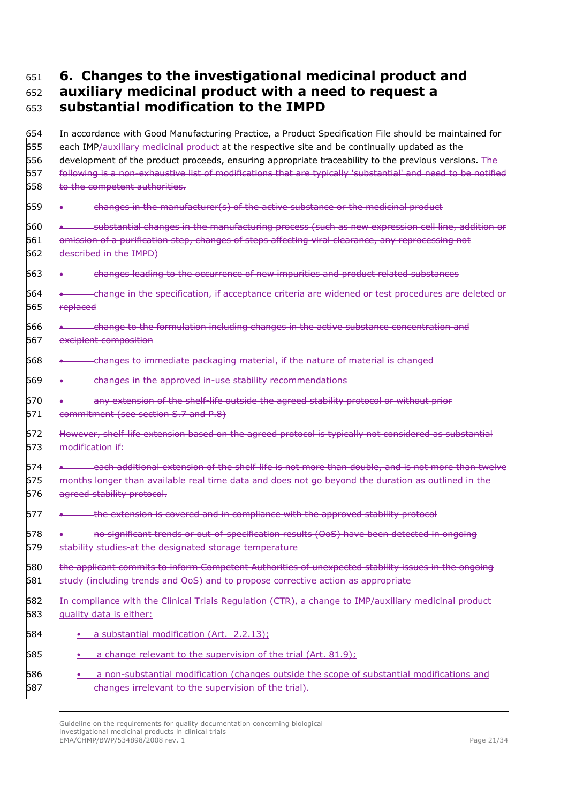# <span id="page-20-0"></span>**6. Changes to the investigational medicinal product and**

### **auxiliary medicinal product with a need to request a substantial modification to the IMPD**

 In accordance with Good Manufacturing Practice, a Product Specification File should be maintained for each IMP/auxiliary medicinal product at the respective site and be continually updated as the 656 development of the product proceeds, ensuring appropriate traceability to the previous versions. The following is a non-exhaustive list of modifications that are typically 'substantial' and need to be notified to the competent authorities. • changes in the manufacturer(s) of the active substance or the medicinal product • substantial changes in the manufacturing process (such as new expression cell line, addition or omission of a purification step, changes of steps affecting viral clearance, any reprocessing not described in the IMPD) • changes leading to the occurrence of new impurities and product related substances • change in the specification, if acceptance criteria are widened or test procedures are deleted or 665 replaced 666 • change to the formulation including changes in the active substance concentration and excipient composition • changes to immediate packaging material, if the nature of material is changed • changes in the approved in-use stability recommendations 670 • any extension of the shelf-life outside the agreed stability protocol or without prior commitment (see section S.7 and P.8) However, shelf-life extension based on the agreed protocol is typically not considered as substantial modification if: 674 • each additional extension of the shelf-life is not more than double, and is not more than twelve months longer than available real time data and does not go beyond the duration as outlined in the 676 agreed stability protocol. 677 • **the extension is covered and in compliance with the approved stability protocol**  • no significant trends or out-of-specification results (OoS) have been detected in ongoing 679 stability studies at the designated storage temperature the applicant commits to inform Competent Authorities of unexpected stability issues in the ongoing 681 study (including trends and OoS) and to propose corrective action as appropriate In compliance with the Clinical Trials Regulation (CTR), a change to IMP/auxiliary medicinal product quality data is either: • a substantial modification (Art. 2.2.13); • a change relevant to the supervision of the trial (Art. 81.9); • a non-substantial modification (changes outside the scope of substantial modifications and changes irrelevant to the supervision of the trial).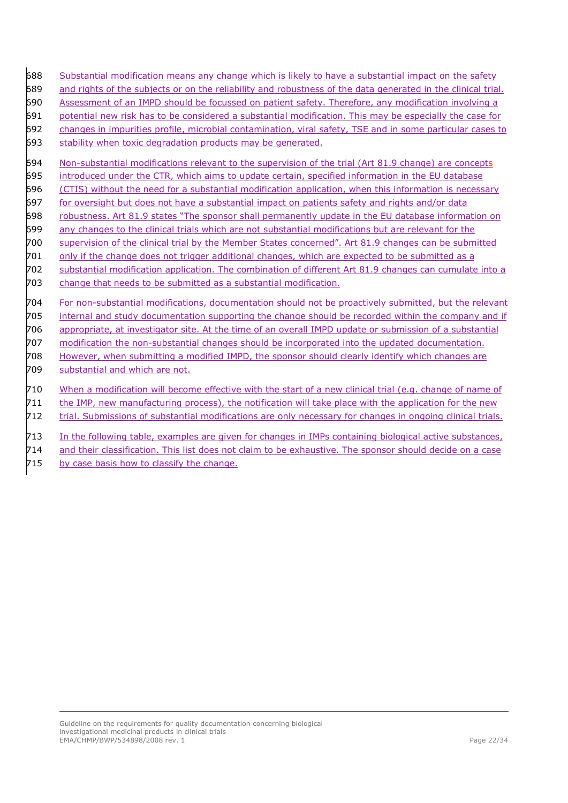- 688 Substantial modification means any change which is likely to have a substantial impact on the safety
- and rights of the subjects or on the reliability and robustness of the data generated in the clinical trial.
- Assessment of an IMPD should be focussed on patient safety. Therefore, any modification involving a
- potential new risk has to be considered a substantial modification. This may be especially the case for
- changes in impurities profile, microbial contamination, viral safety, TSE and in some particular cases to
- stability when toxic degradation products may be generated.
- Non-substantial modifications relevant to the supervision of the trial (Art 81.9 change) are concepts
- introduced under the CTR, which aims to update certain, specified information in the EU database
- (CTIS) without the need for a substantial modification application, when this information is necessary
- 697 for oversight but does not have a substantial impact on patients safety and rights and/or data
- robustness. Art 81.9 states "The sponsor shall permanently update in the EU database information on
- any changes to the clinical trials which are not substantial modifications but are relevant for the
- supervision of the clinical trial by the Member States concerned". Art 81.9 changes can be submitted
- only if the change does not trigger additional changes, which are expected to be submitted as a
- substantial modification application. The combination of different Art 81.9 changes can cumulate into a
- change that needs to be submitted as a substantial modification.
- For non-substantial modifications, documentation should not be proactively submitted, but the relevant
- internal and study documentation supporting the change should be recorded within the company and if
- appropriate, at investigator site. At the time of an overall IMPD update or submission of a substantial
- modification the non-substantial changes should be incorporated into the updated documentation.
- However, when submitting a modified IMPD, the sponsor should clearly identify which changes are
- substantial and which are not.
- When a modification will become effective with the start of a new clinical trial (e.g. change of name of
- the IMP, new manufacturing process), the notification will take place with the application for the new
- trial. Submissions of substantial modifications are only necessary for changes in ongoing clinical trials.
- In the following table, examples are given for changes in IMPs containing biological active substances,
- and their classification. This list does not claim to be exhaustive. The sponsor should decide on a case
- 715 by case basis how to classify the change.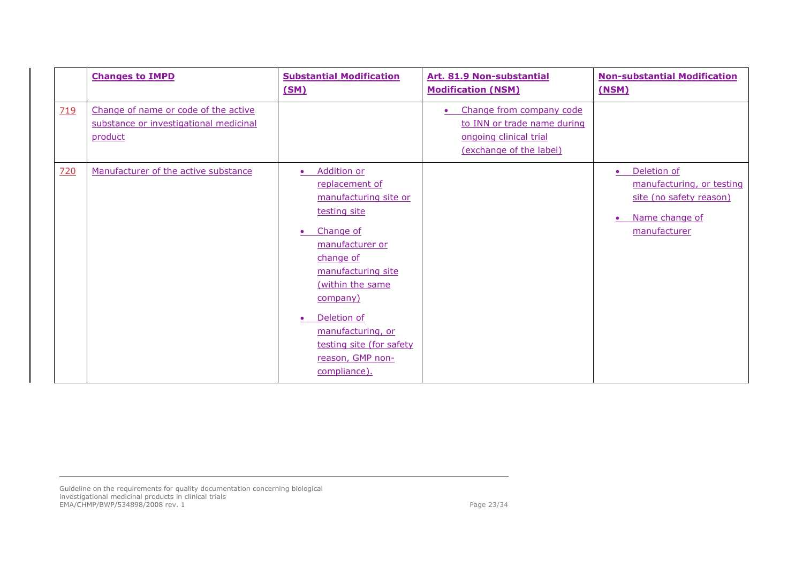|            | <b>Changes to IMPD</b>                                                                    | <b>Substantial Modification</b><br><u>(SM)</u>                                                                                                                                                                                                                                                    | Art. 81.9 Non-substantial<br><b>Modification (NSM)</b>                                                                    | <b>Non-substantial Modification</b><br>(NSM)                                                          |
|------------|-------------------------------------------------------------------------------------------|---------------------------------------------------------------------------------------------------------------------------------------------------------------------------------------------------------------------------------------------------------------------------------------------------|---------------------------------------------------------------------------------------------------------------------------|-------------------------------------------------------------------------------------------------------|
| <b>719</b> | Change of name or code of the active<br>substance or investigational medicinal<br>product |                                                                                                                                                                                                                                                                                                   | Change from company code<br>$\bullet$<br>to INN or trade name during<br>ongoing clinical trial<br>(exchange of the label) |                                                                                                       |
| <u>720</u> | Manufacturer of the active substance                                                      | <b>Addition or</b><br>replacement of<br>manufacturing site or<br>testing site<br>Change of<br>manufacturer or<br>change of<br>manufacturing site<br>(within the same<br>company)<br>Deletion of<br>$\bullet$<br>manufacturing, or<br>testing site (for safety<br>reason, GMP non-<br>compliance). |                                                                                                                           | Deletion of<br>manufacturing, or testing<br>site (no safety reason)<br>Name change of<br>manufacturer |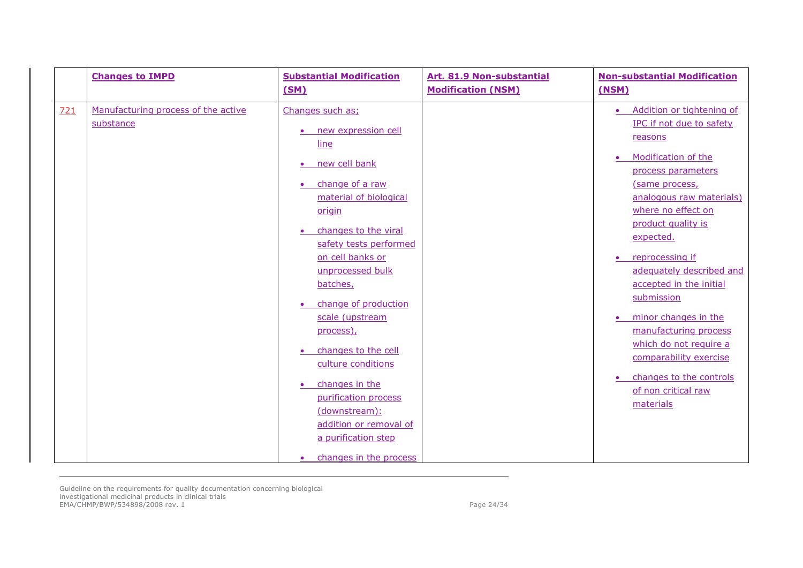|     | <b>Changes to IMPD</b>                           | <b>Substantial Modification</b><br>(SM)                                                                                                                                                                                                                                                                                                                                                                                                                                                                             | Art. 81.9 Non-substantial<br><b>Modification (NSM)</b> | <b>Non-substantial Modification</b><br>(NSM)                                                                                                                                                                                                                                                                                                                                                                                                                                                                                         |
|-----|--------------------------------------------------|---------------------------------------------------------------------------------------------------------------------------------------------------------------------------------------------------------------------------------------------------------------------------------------------------------------------------------------------------------------------------------------------------------------------------------------------------------------------------------------------------------------------|--------------------------------------------------------|--------------------------------------------------------------------------------------------------------------------------------------------------------------------------------------------------------------------------------------------------------------------------------------------------------------------------------------------------------------------------------------------------------------------------------------------------------------------------------------------------------------------------------------|
| 721 | Manufacturing process of the active<br>substance | Changes such as:<br>new expression cell<br>line<br>• new cell bank<br>• change of a raw<br>material of biological<br>origin<br>changes to the viral<br>safety tests performed<br>on cell banks or<br>unprocessed bulk<br>batches,<br>change of production<br>scale (upstream<br>process),<br>changes to the cell<br>$\bullet$<br>culture conditions<br>changes in the<br>$\bullet$<br>purification process<br>(downstream):<br>addition or removal of<br>a purification step<br>changes in the process<br>$\bullet$ |                                                        | Addition or tightening of<br>$\bullet$<br>IPC if not due to safety<br>reasons<br>Modification of the<br>$\bullet$<br>process parameters<br>(same process,<br>analogous raw materials)<br>where no effect on<br>product quality is<br>expected.<br>reprocessing if<br>adequately described and<br>accepted in the initial<br>submission<br>minor changes in the<br>$\bullet$<br>manufacturing process<br>which do not require a<br>comparability exercise<br>changes to the controls<br>$\bullet$<br>of non critical raw<br>materials |
|     |                                                  |                                                                                                                                                                                                                                                                                                                                                                                                                                                                                                                     |                                                        |                                                                                                                                                                                                                                                                                                                                                                                                                                                                                                                                      |

Guideline on the requirements for quality documentation concerning biological investigational medicinal products in clinical trials EMA/CHMP/BWP/534898/2008 rev. 1 Page 24/34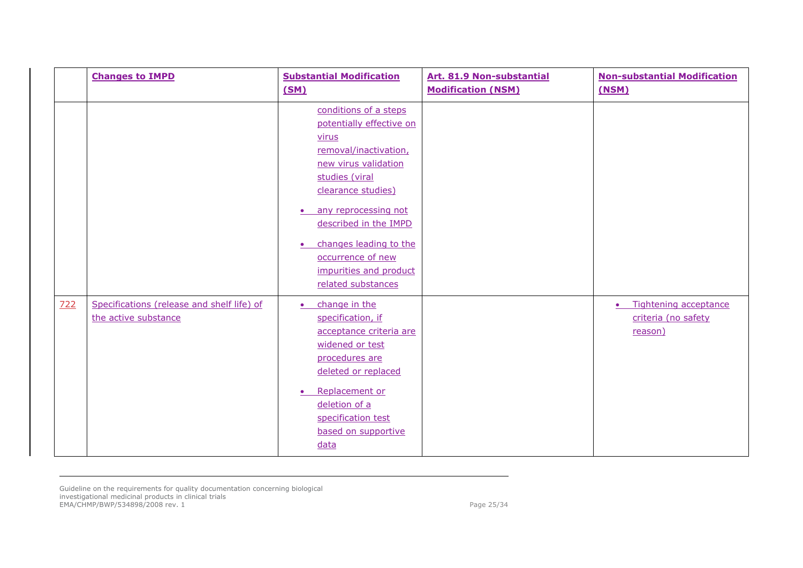|     | <b>Changes to IMPD</b>                                             | <b>Substantial Modification</b><br>(SM)                                                                                                                                                                                                                                                                                       | Art. 81.9 Non-substantial<br><b>Modification (NSM)</b> | <b>Non-substantial Modification</b><br>(NSM)                         |
|-----|--------------------------------------------------------------------|-------------------------------------------------------------------------------------------------------------------------------------------------------------------------------------------------------------------------------------------------------------------------------------------------------------------------------|--------------------------------------------------------|----------------------------------------------------------------------|
|     |                                                                    | conditions of a steps<br>potentially effective on<br>virus<br>removal/inactivation,<br>new virus validation<br>studies (viral<br>clearance studies)<br>any reprocessing not<br>$\bullet$<br>described in the IMPD<br>changes leading to the<br>$\bullet$<br>occurrence of new<br>impurities and product<br>related substances |                                                        |                                                                      |
| 722 | Specifications (release and shelf life) of<br>the active substance | change in the<br>$\bullet$<br>specification, if<br>acceptance criteria are<br>widened or test<br>procedures are<br>deleted or replaced<br>Replacement or<br>$\bullet$<br>deletion of a<br>specification test<br>based on supportive<br>data                                                                                   |                                                        | Tightening acceptance<br>$\bullet$<br>criteria (no safety<br>reason) |

Guideline on the requirements for quality documentation concerning biological investigational medicinal products in clinical trials EMA/CHMP/BWP/534898/2008 rev. 1 Page 25/34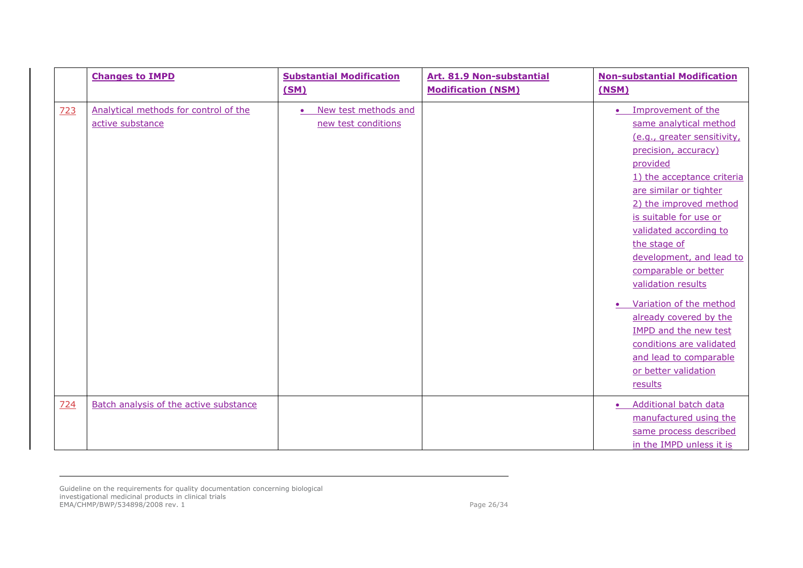|     | <b>Changes to IMPD</b>                                    | <b>Substantial Modification</b><br>(SM)                  | Art. 81.9 Non-substantial<br><b>Modification (NSM)</b> | <b>Non-substantial Modification</b><br>(NSM)                                                                                                                                                                                                                                                                                                                                                                                                                                                                                                            |
|-----|-----------------------------------------------------------|----------------------------------------------------------|--------------------------------------------------------|---------------------------------------------------------------------------------------------------------------------------------------------------------------------------------------------------------------------------------------------------------------------------------------------------------------------------------------------------------------------------------------------------------------------------------------------------------------------------------------------------------------------------------------------------------|
| 723 | Analytical methods for control of the<br>active substance | New test methods and<br>$\bullet$<br>new test conditions |                                                        | Improvement of the<br>$\bullet$<br>same analytical method<br>(e.g., greater sensitivity,<br>precision, accuracy)<br>provided<br>1) the acceptance criteria<br>are similar or tighter<br>2) the improved method<br>is suitable for use or<br>validated according to<br>the stage of<br>development, and lead to<br>comparable or better<br>validation results<br>Variation of the method<br>$\bullet$<br>already covered by the<br><b>IMPD and the new test</b><br>conditions are validated<br>and lead to comparable<br>or better validation<br>results |
| 724 | Batch analysis of the active substance                    |                                                          |                                                        | Additional batch data<br>manufactured using the<br>same process described<br>in the IMPD unless it is                                                                                                                                                                                                                                                                                                                                                                                                                                                   |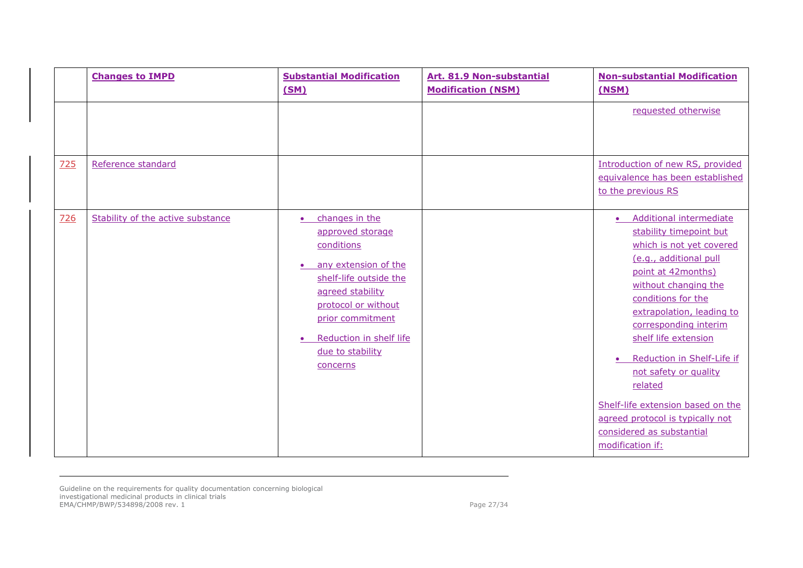|     | <b>Changes to IMPD</b>            | <b>Substantial Modification</b><br>(SM)                                                                                                                                                                                                                | Art. 81.9 Non-substantial<br><b>Modification (NSM)</b> | <b>Non-substantial Modification</b><br>(NSM)                                                                                                                                                                                                                                                                                                                                                                                                                  |
|-----|-----------------------------------|--------------------------------------------------------------------------------------------------------------------------------------------------------------------------------------------------------------------------------------------------------|--------------------------------------------------------|---------------------------------------------------------------------------------------------------------------------------------------------------------------------------------------------------------------------------------------------------------------------------------------------------------------------------------------------------------------------------------------------------------------------------------------------------------------|
| 725 | Reference standard                |                                                                                                                                                                                                                                                        |                                                        | requested otherwise<br>Introduction of new RS, provided<br>equivalence has been established<br>to the previous RS                                                                                                                                                                                                                                                                                                                                             |
| 726 | Stability of the active substance | changes in the<br>$\bullet$<br>approved storage<br>conditions<br>any extension of the<br>$\bullet$<br>shelf-life outside the<br>agreed stability<br>protocol or without<br>prior commitment<br>Reduction in shelf life<br>due to stability<br>concerns |                                                        | <b>Additional intermediate</b><br>stability timepoint but<br>which is not yet covered<br>(e.g., additional pull<br>point at 42months)<br>without changing the<br>conditions for the<br>extrapolation, leading to<br>corresponding interim<br>shelf life extension<br>Reduction in Shelf-Life if<br>not safety or quality<br>related<br>Shelf-life extension based on the<br>agreed protocol is typically not<br>considered as substantial<br>modification if: |

Guideline on the requirements for quality documentation concerning biological investigational medicinal products in clinical trials EMA/CHMP/BWP/534898/2008 rev. 1 Page 27/34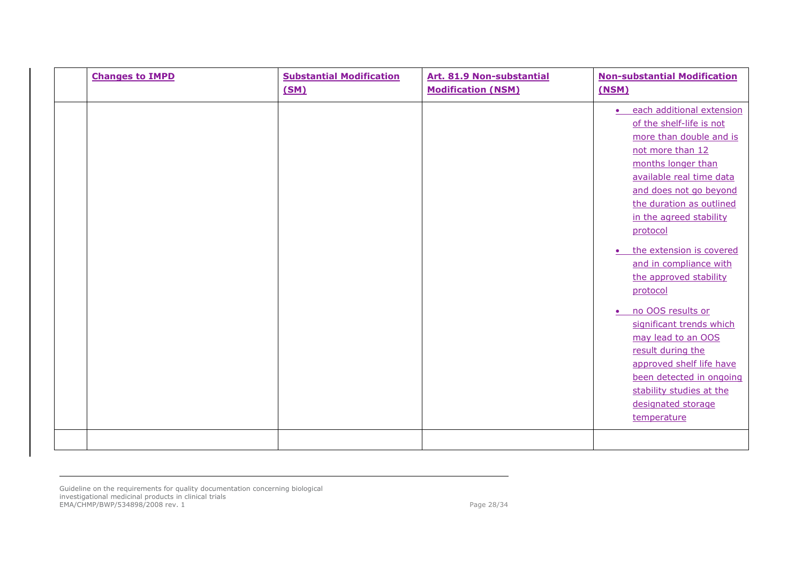|  | <b>Changes to IMPD</b> | <b>Substantial Modification</b><br>(SM) | Art. 81.9 Non-substantial<br><b>Modification (NSM)</b> | <b>Non-substantial Modification</b><br>(NSM)                                                                                                                                                                                                                                                                                                                                                                                                                                                                                                                                                                |
|--|------------------------|-----------------------------------------|--------------------------------------------------------|-------------------------------------------------------------------------------------------------------------------------------------------------------------------------------------------------------------------------------------------------------------------------------------------------------------------------------------------------------------------------------------------------------------------------------------------------------------------------------------------------------------------------------------------------------------------------------------------------------------|
|  |                        |                                         |                                                        | each additional extension<br>$\bullet$<br>of the shelf-life is not<br>more than double and is<br>not more than 12<br>months longer than<br>available real time data<br>and does not go beyond<br>the duration as outlined<br>in the agreed stability<br>protocol<br>the extension is covered<br>$\bullet$<br>and in compliance with<br>the approved stability<br>protocol<br>no OOS results or<br>$\bullet$<br>significant trends which<br>may lead to an OOS<br>result during the<br>approved shelf life have<br>been detected in ongoing<br>stability studies at the<br>designated storage<br>temperature |
|  |                        |                                         |                                                        |                                                                                                                                                                                                                                                                                                                                                                                                                                                                                                                                                                                                             |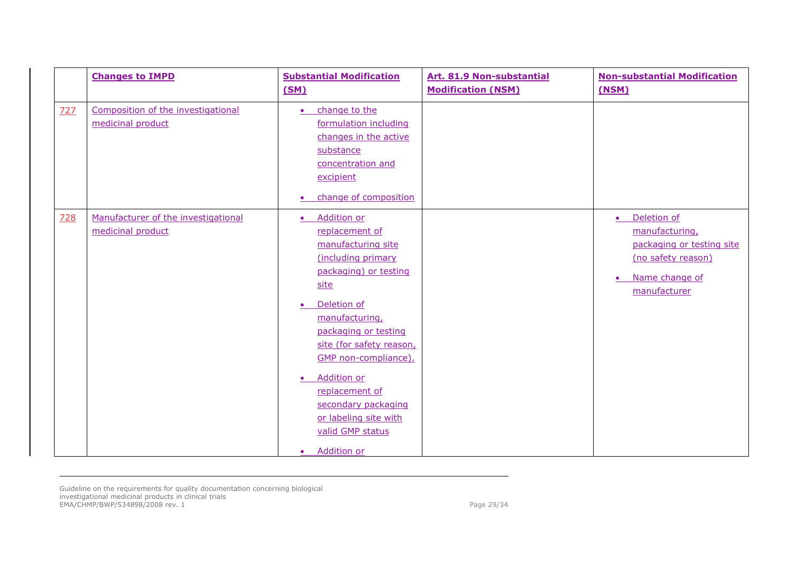|     | <b>Changes to IMPD</b>                                   | <b>Substantial Modification</b><br>(SM)                                                                                                                                                                                                                                                                                                                                                            | Art. 81.9 Non-substantial<br><b>Modification (NSM)</b> | <b>Non-substantial Modification</b><br>(NSM)                                                                                                 |
|-----|----------------------------------------------------------|----------------------------------------------------------------------------------------------------------------------------------------------------------------------------------------------------------------------------------------------------------------------------------------------------------------------------------------------------------------------------------------------------|--------------------------------------------------------|----------------------------------------------------------------------------------------------------------------------------------------------|
| 727 | Composition of the investigational<br>medicinal product  | change to the<br>$\bullet$<br>formulation including<br>changes in the active<br>substance<br>concentration and<br>excipient<br>change of composition<br>$\bullet$                                                                                                                                                                                                                                  |                                                        |                                                                                                                                              |
| 728 | Manufacturer of the investigational<br>medicinal product | · Addition or<br>replacement of<br>manufacturing site<br>(including primary<br>packaging) or testing<br>site<br>Deletion of<br>$\bullet$<br>manufacturing,<br>packaging or testing<br>site (for safety reason,<br>GMP non-compliance).<br><b>Addition or</b><br>$\bullet$<br>replacement of<br>secondary packaging<br>or labeling site with<br>valid GMP status<br><b>Addition or</b><br>$\bullet$ |                                                        | Deletion of<br>$\bullet$<br>manufacturing,<br>packaging or testing site<br>(no safety reason)<br>Name change of<br>$\bullet$<br>manufacturer |

Guideline on the requirements for quality documentation concerning biological investigational medicinal products in clinical trials EMA/CHMP/BWP/534898/2008 rev. 1 Page 29/34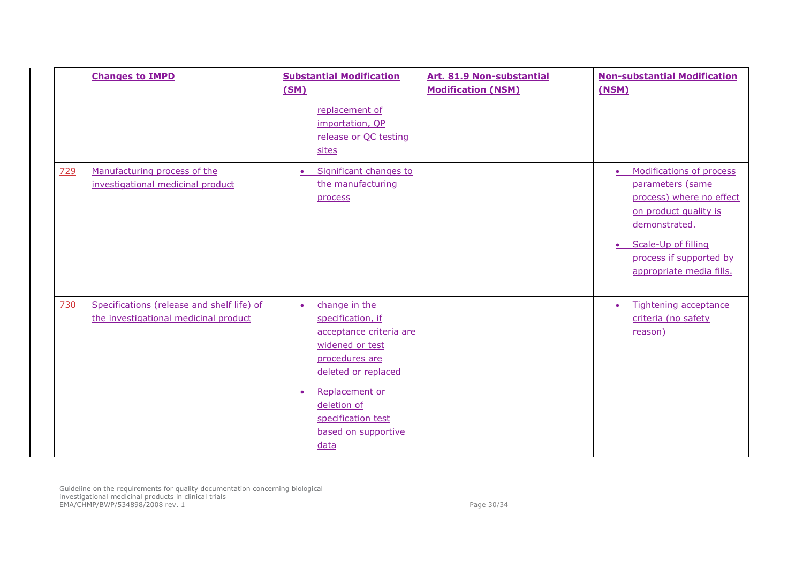|     | <b>Changes to IMPD</b>                                                              | <b>Substantial Modification</b><br>(SM)                                                                                                                                                                                                   | Art. 81.9 Non-substantial<br><b>Modification (NSM)</b> | <b>Non-substantial Modification</b><br>(NSM)                                                                                                                                                                               |
|-----|-------------------------------------------------------------------------------------|-------------------------------------------------------------------------------------------------------------------------------------------------------------------------------------------------------------------------------------------|--------------------------------------------------------|----------------------------------------------------------------------------------------------------------------------------------------------------------------------------------------------------------------------------|
|     |                                                                                     | replacement of<br>importation, QP<br>release or QC testing<br>sites                                                                                                                                                                       |                                                        |                                                                                                                                                                                                                            |
| 729 | Manufacturing process of the<br>investigational medicinal product                   | Significant changes to<br>$\bullet$<br>the manufacturing<br>process                                                                                                                                                                       |                                                        | Modifications of process<br>$\bullet$<br>parameters (same<br>process) where no effect<br>on product quality is<br>demonstrated.<br>Scale-Up of filling<br>$\bullet$<br>process if supported by<br>appropriate media fills. |
| 730 | Specifications (release and shelf life) of<br>the investigational medicinal product | change in the<br>$\bullet$<br>specification, if<br>acceptance criteria are<br>widened or test<br>procedures are<br>deleted or replaced<br>Replacement or<br>$\bullet$<br>deletion of<br>specification test<br>based on supportive<br>data |                                                        | Tightening acceptance<br>$\bullet$<br>criteria (no safety<br>reason)                                                                                                                                                       |

Guideline on the requirements for quality documentation concerning biological investigational medicinal products in clinical trials EMA/CHMP/BWP/534898/2008 rev. 1 Page 30/34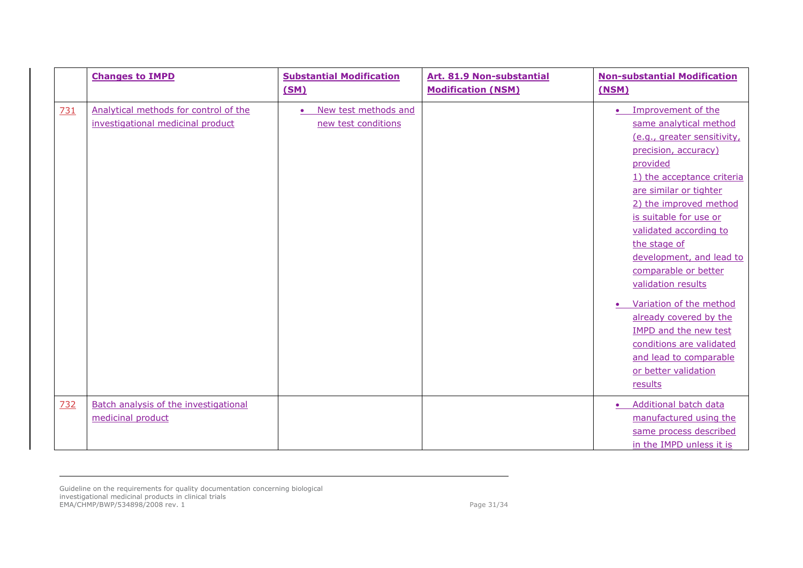|            | <b>Changes to IMPD</b>                                                     | <b>Substantial Modification</b><br>(SM)                  | Art. 81.9 Non-substantial<br><b>Modification (NSM)</b> | <b>Non-substantial Modification</b><br>(NSM)                                                                                                                                                                                                                                                                                                                                                                                                                                                                                                            |
|------------|----------------------------------------------------------------------------|----------------------------------------------------------|--------------------------------------------------------|---------------------------------------------------------------------------------------------------------------------------------------------------------------------------------------------------------------------------------------------------------------------------------------------------------------------------------------------------------------------------------------------------------------------------------------------------------------------------------------------------------------------------------------------------------|
| <b>731</b> | Analytical methods for control of the<br>investigational medicinal product | New test methods and<br>$\bullet$<br>new test conditions |                                                        | Improvement of the<br>$\bullet$<br>same analytical method<br>(e.g., greater sensitivity,<br>precision, accuracy)<br>provided<br>1) the acceptance criteria<br>are similar or tighter<br>2) the improved method<br>is suitable for use or<br>validated according to<br>the stage of<br>development, and lead to<br>comparable or better<br>validation results<br>Variation of the method<br>$\bullet$<br>already covered by the<br><b>IMPD and the new test</b><br>conditions are validated<br>and lead to comparable<br>or better validation<br>results |
| 732        | <b>Batch analysis of the investigational</b><br>medicinal product          |                                                          |                                                        | Additional batch data<br>manufactured using the<br>same process described<br>in the IMPD unless it is                                                                                                                                                                                                                                                                                                                                                                                                                                                   |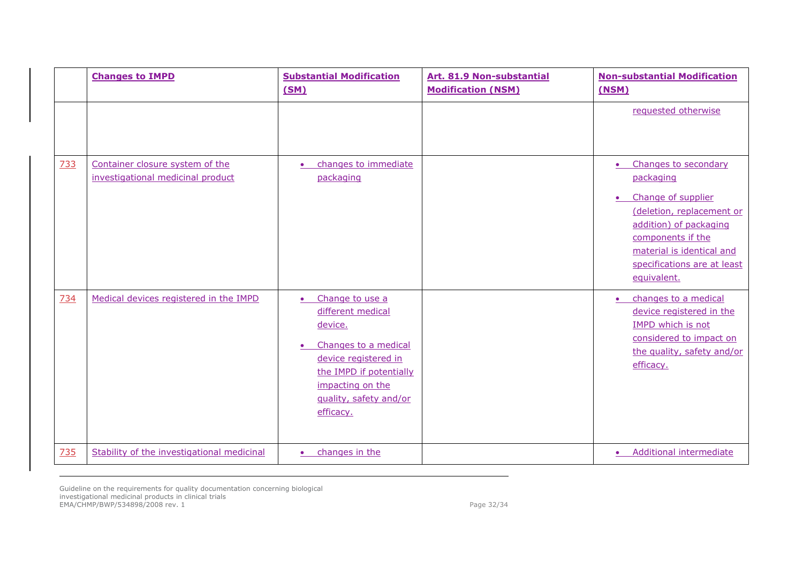|     | <b>Changes to IMPD</b>                                               | <b>Substantial Modification</b><br>(SM)                                                                                                                                                                         | Art. 81.9 Non-substantial<br><b>Modification (NSM)</b> | <b>Non-substantial Modification</b><br>(NSM)                                                                                                                                                                                             |
|-----|----------------------------------------------------------------------|-----------------------------------------------------------------------------------------------------------------------------------------------------------------------------------------------------------------|--------------------------------------------------------|------------------------------------------------------------------------------------------------------------------------------------------------------------------------------------------------------------------------------------------|
|     |                                                                      |                                                                                                                                                                                                                 |                                                        | requested otherwise                                                                                                                                                                                                                      |
| 733 | Container closure system of the<br>investigational medicinal product | changes to immediate<br>$\bullet$<br>packaging                                                                                                                                                                  |                                                        | Changes to secondary<br>$\bullet$<br>packaging<br>Change of supplier<br>$\bullet$<br>(deletion, replacement or<br>addition) of packaging<br>components if the<br>material is identical and<br>specifications are at least<br>equivalent. |
| 734 | Medical devices registered in the IMPD                               | Change to use a<br>$\bullet$<br>different medical<br>device.<br>Changes to a medical<br>$\bullet$<br>device registered in<br>the IMPD if potentially<br>impacting on the<br>quality, safety and/or<br>efficacy. |                                                        | changes to a medical<br>$\bullet$<br>device registered in the<br>IMPD which is not<br>considered to impact on<br>the quality, safety and/or<br>efficacy.                                                                                 |
| 735 | Stability of the investigational medicinal                           | changes in the<br>$\bullet$                                                                                                                                                                                     |                                                        | <b>Additional intermediate</b><br>$\bullet$                                                                                                                                                                                              |

Guideline on the requirements for quality documentation concerning biological investigational medicinal products in clinical trials EMA/CHMP/BWP/534898/2008 rev. 1 Page 32/34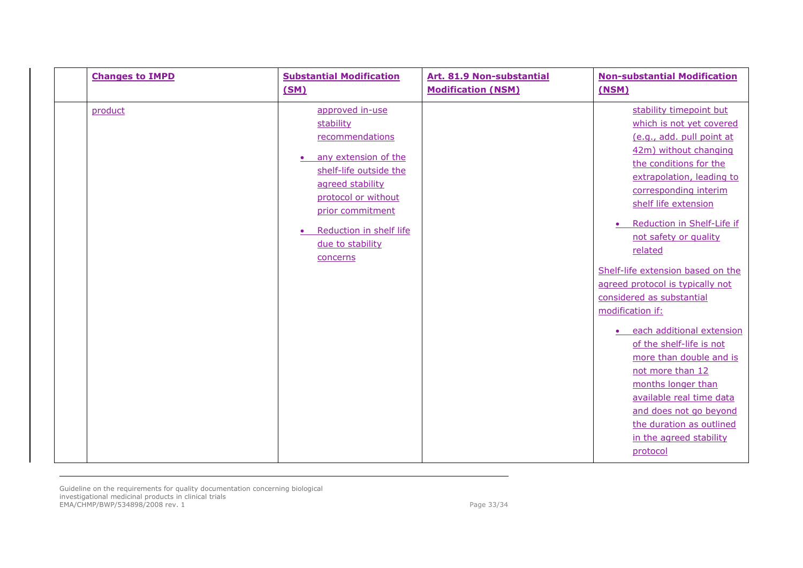| <b>Changes to IMPD</b> | <b>Substantial Modification</b><br>(SM)                                                                                                                                                                                                               | Art. 81.9 Non-substantial<br><b>Modification (NSM)</b> | <b>Non-substantial Modification</b><br>(NSM)                                                                                                                                                                                                                                                                                                                                                                                                                                                                                                                                                                                                                         |
|------------------------|-------------------------------------------------------------------------------------------------------------------------------------------------------------------------------------------------------------------------------------------------------|--------------------------------------------------------|----------------------------------------------------------------------------------------------------------------------------------------------------------------------------------------------------------------------------------------------------------------------------------------------------------------------------------------------------------------------------------------------------------------------------------------------------------------------------------------------------------------------------------------------------------------------------------------------------------------------------------------------------------------------|
| product                | approved in-use<br>stability<br>recommendations<br>any extension of the<br>$\bullet$<br>shelf-life outside the<br>agreed stability<br>protocol or without<br>prior commitment<br>Reduction in shelf life<br>$\bullet$<br>due to stability<br>concerns |                                                        | stability timepoint but<br>which is not yet covered<br>(e.g., add. pull point at<br>42m) without changing<br>the conditions for the<br>extrapolation, leading to<br>corresponding interim<br>shelf life extension<br>Reduction in Shelf-Life if<br>not safety or quality<br>related<br>Shelf-life extension based on the<br>agreed protocol is typically not<br>considered as substantial<br>modification if:<br>each additional extension<br>of the shelf-life is not<br>more than double and is<br>not more than 12<br>months longer than<br>available real time data<br>and does not go beyond<br>the duration as outlined<br>in the agreed stability<br>protocol |

Guideline on the requirements for quality documentation concerning biological investigational medicinal products in clinical trials EMA/CHMP/BWP/534898/2008 rev. 1 Page 33/34